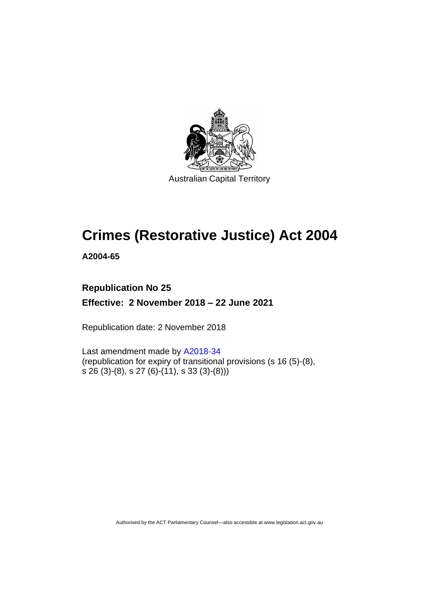

# **Crimes (Restorative Justice) Act 2004**

**A2004-65**

# **Republication No 25**

**Effective: 2 November 2018 – 22 June 2021**

Republication date: 2 November 2018

Last amendment made by [A2018-34](http://www.legislation.act.gov.au/a/2018-34/default.asp) (republication for expiry of transitional provisions (s 16 (5)-(8), s 26 (3)-(8), s 27 (6)-(11), s 33 (3)-(8)))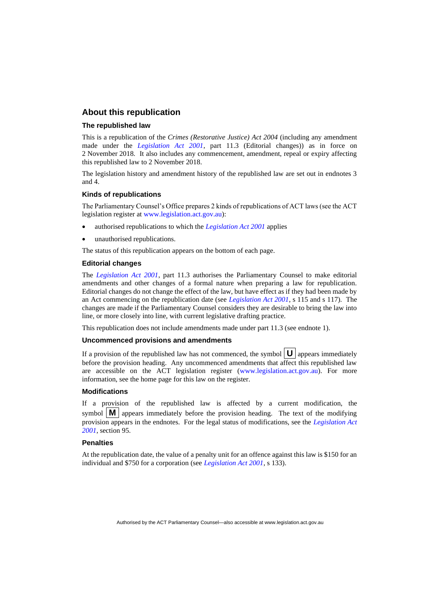### **About this republication**

#### **The republished law**

This is a republication of the *Crimes (Restorative Justice) Act 2004* (including any amendment made under the *[Legislation Act 2001](http://www.legislation.act.gov.au/a/2001-14)*, part 11.3 (Editorial changes)) as in force on 2 November 2018*.* It also includes any commencement, amendment, repeal or expiry affecting this republished law to 2 November 2018.

The legislation history and amendment history of the republished law are set out in endnotes 3 and 4.

#### **Kinds of republications**

The Parliamentary Counsel's Office prepares 2 kinds of republications of ACT laws (see the ACT legislation register at [www.legislation.act.gov.au\)](http://www.legislation.act.gov.au/):

- authorised republications to which the *[Legislation Act 2001](http://www.legislation.act.gov.au/a/2001-14)* applies
- unauthorised republications.

The status of this republication appears on the bottom of each page.

#### **Editorial changes**

The *[Legislation Act 2001](http://www.legislation.act.gov.au/a/2001-14)*, part 11.3 authorises the Parliamentary Counsel to make editorial amendments and other changes of a formal nature when preparing a law for republication. Editorial changes do not change the effect of the law, but have effect as if they had been made by an Act commencing on the republication date (see *[Legislation Act 2001](http://www.legislation.act.gov.au/a/2001-14)*, s 115 and s 117). The changes are made if the Parliamentary Counsel considers they are desirable to bring the law into line, or more closely into line, with current legislative drafting practice.

This republication does not include amendments made under part 11.3 (see endnote 1).

#### **Uncommenced provisions and amendments**

If a provision of the republished law has not commenced, the symbol  $\mathbf{U}$  appears immediately before the provision heading. Any uncommenced amendments that affect this republished law are accessible on the ACT legislation register [\(www.legislation.act.gov.au\)](http://www.legislation.act.gov.au/). For more information, see the home page for this law on the register.

#### **Modifications**

If a provision of the republished law is affected by a current modification, the symbol  $\mathbf{M}$  appears immediately before the provision heading. The text of the modifying provision appears in the endnotes. For the legal status of modifications, see the *[Legislation Act](http://www.legislation.act.gov.au/a/2001-14)  [2001](http://www.legislation.act.gov.au/a/2001-14)*, section 95.

#### **Penalties**

At the republication date, the value of a penalty unit for an offence against this law is \$150 for an individual and \$750 for a corporation (see *[Legislation Act 2001](http://www.legislation.act.gov.au/a/2001-14)*, s 133).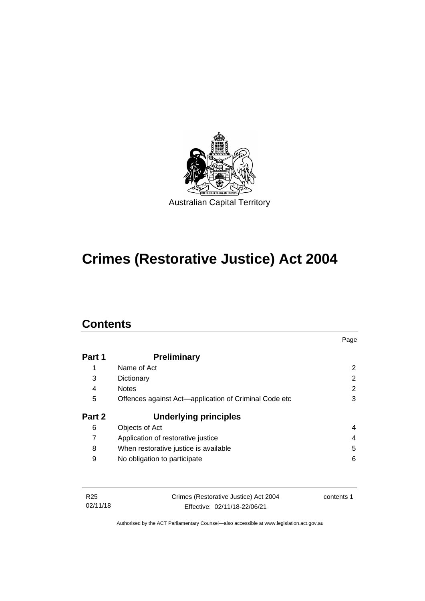

# **Crimes (Restorative Justice) Act 2004**

# **Contents**

|        |                                                       | Page                  |
|--------|-------------------------------------------------------|-----------------------|
| Part 1 | <b>Preliminary</b>                                    |                       |
| 1      | Name of Act                                           | $\mathbf{2}^{\prime}$ |
| 3      | Dictionary                                            | 2                     |
| 4      | <b>Notes</b>                                          | 2                     |
| 5      | Offences against Act-application of Criminal Code etc | 3                     |
| Part 2 | <b>Underlying principles</b>                          |                       |
| 6      | Objects of Act                                        | 4                     |
|        | Application of restorative justice                    | 4                     |
| 8      | When restorative justice is available                 | 5                     |
| 9      | No obligation to participate                          | 6                     |

| R25      | Crimes (Restorative Justice) Act 2004 | contents 1 |
|----------|---------------------------------------|------------|
| 02/11/18 | Effective: 02/11/18-22/06/21          |            |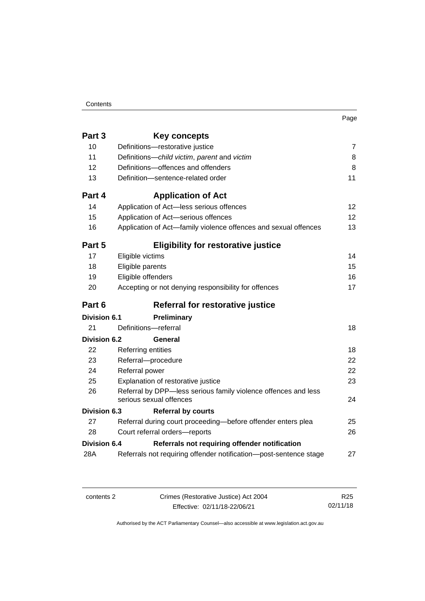| . .<br>× | ۰. |  |
|----------|----|--|

| Part 3              | Key concepts                                                                              |                 |
|---------------------|-------------------------------------------------------------------------------------------|-----------------|
| 10                  | Definitions-restorative justice                                                           | $\overline{7}$  |
| 11                  | Definitions-child victim, parent and victim                                               | 8               |
| 12                  | Definitions-offences and offenders                                                        | 8               |
| 13                  | Definition-sentence-related order                                                         | 11              |
| Part 4              | <b>Application of Act</b>                                                                 |                 |
| 14                  | Application of Act-less serious offences                                                  | 12              |
| 15                  | Application of Act-serious offences                                                       | 12 <sup>2</sup> |
| 16                  | Application of Act-family violence offences and sexual offences                           | 13              |
| Part 5              | <b>Eligibility for restorative justice</b>                                                |                 |
| 17                  | Eligible victims                                                                          | 14              |
| 18                  | Eligible parents                                                                          | 15              |
| 19                  | Eligible offenders                                                                        | 16              |
| 20                  | Accepting or not denying responsibility for offences                                      | 17              |
|                     |                                                                                           |                 |
| Part 6              | Referral for restorative justice                                                          |                 |
| <b>Division 6.1</b> | <b>Preliminary</b>                                                                        |                 |
| 21                  | Definitions-referral                                                                      | 18              |
| <b>Division 6.2</b> | General                                                                                   |                 |
| 22                  | Referring entities                                                                        | 18              |
| 23                  | Referral-procedure                                                                        | 22              |
| 24                  | Referral power                                                                            | 22              |
| 25                  | Explanation of restorative justice                                                        | 23              |
| 26                  | Referral by DPP-less serious family violence offences and less<br>serious sexual offences | 24              |
| <b>Division 6.3</b> | <b>Referral by courts</b>                                                                 |                 |
| 27                  | Referral during court proceeding-before offender enters plea                              | 25              |
| 28                  | Court referral orders-reports                                                             | 26              |
| <b>Division 6.4</b> | Referrals not requiring offender notification                                             |                 |

contents 2 Crimes (Restorative Justice) Act 2004 Effective: 02/11/18-22/06/21

R25 02/11/18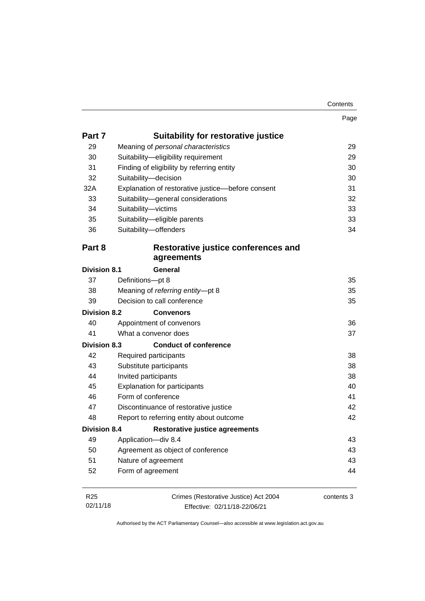Page

| Part 7              | <b>Suitability for restorative justice</b>        |    |
|---------------------|---------------------------------------------------|----|
| 29                  | Meaning of personal characteristics               | 29 |
| 30                  | Suitability-eligibility requirement               | 29 |
| 31                  | Finding of eligibility by referring entity        | 30 |
| 32                  | Suitability-decision                              | 30 |
| 32A                 | Explanation of restorative justice-before consent | 31 |
| 33                  | Suitability-general considerations                | 32 |
| 34                  | Suitability-victims                               | 33 |
| 35                  | Suitability-eligible parents                      | 33 |
| 36                  | Suitability-offenders                             | 34 |
| Part 8              | Restorative justice conferences and               |    |
|                     | agreements                                        |    |
| <b>Division 8.1</b> | General                                           |    |
| 37                  | Definitions-pt 8                                  | 35 |
| 38                  | Meaning of referring entity-pt 8                  | 35 |
| 39                  | Decision to call conference                       | 35 |
| Division 8.2        | <b>Convenors</b>                                  |    |
| 40                  | Appointment of convenors                          | 36 |
| 41                  | What a convenor does                              | 37 |
| <b>Division 8.3</b> | <b>Conduct of conference</b>                      |    |
| 42                  | Required participants                             | 38 |
| 43                  | Substitute participants                           | 38 |
| 44                  | Invited participants                              | 38 |
| 45                  | <b>Explanation for participants</b>               | 40 |
| 46                  | Form of conference                                | 41 |
| 47                  | Discontinuance of restorative justice             | 42 |
| 48                  | Report to referring entity about outcome          | 42 |
| <b>Division 8.4</b> | <b>Restorative justice agreements</b>             |    |
| 49                  | Application-div 8.4                               | 43 |
| 50                  | Agreement as object of conference                 | 43 |
| 51                  | Nature of agreement                               | 43 |
|                     |                                                   |    |
| 52                  | Form of agreement                                 | 44 |

| R25      | Crimes (Restorative Justice) Act 2004 | contents 3 |
|----------|---------------------------------------|------------|
| 02/11/18 | Effective: 02/11/18-22/06/21          |            |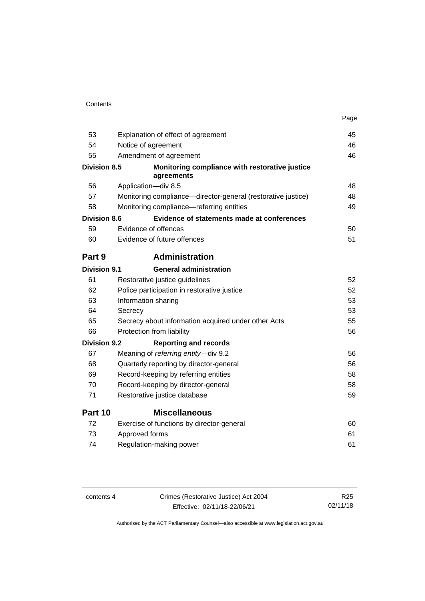| Contents |
|----------|
|----------|

|                     |                                                              | Page |
|---------------------|--------------------------------------------------------------|------|
| 53                  | Explanation of effect of agreement                           | 45   |
| 54                  | Notice of agreement                                          | 46   |
| 55                  | Amendment of agreement                                       | 46   |
| <b>Division 8.5</b> | Monitoring compliance with restorative justice<br>agreements |      |
| 56                  | Application-div 8.5                                          | 48   |
| 57                  | Monitoring compliance—director-general (restorative justice) | 48   |
| 58                  | Monitoring compliance-referring entities                     | 49   |
| <b>Division 8.6</b> | Evidence of statements made at conferences                   |      |
| 59                  | Evidence of offences                                         | 50   |
| 60                  | Evidence of future offences                                  | 51   |
| Part 9              | <b>Administration</b>                                        |      |
| <b>Division 9.1</b> | <b>General administration</b>                                |      |
| 61                  | Restorative justice guidelines                               | 52   |
| 62                  | Police participation in restorative justice                  | 52   |
| 63                  | Information sharing                                          | 53   |
| 64                  | Secrecy                                                      | 53   |
| 65                  | Secrecy about information acquired under other Acts          | 55   |
| 66                  | Protection from liability                                    | 56   |
| <b>Division 9.2</b> | <b>Reporting and records</b>                                 |      |
| 67                  | Meaning of referring entity-div 9.2                          | 56   |
| 68                  | Quarterly reporting by director-general                      | 56   |
| 69                  | Record-keeping by referring entities                         | 58   |
| 70                  | Record-keeping by director-general                           | 58   |
| 71                  | Restorative justice database                                 | 59   |
| Part 10             | <b>Miscellaneous</b>                                         |      |
| 72                  | Exercise of functions by director-general                    | 60   |
| 73                  | Approved forms                                               | 61   |
| 74                  | Regulation-making power                                      | 61   |

| contents 4 | Crimes (Restorative Justice) Act 2004 | R <sub>25</sub> |
|------------|---------------------------------------|-----------------|
|            | Effective: 02/11/18-22/06/21          | 02/11/18        |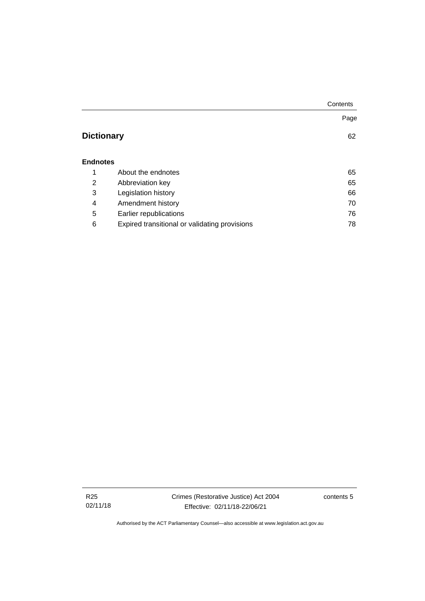|                   |                                               | Contents |
|-------------------|-----------------------------------------------|----------|
|                   |                                               | Page     |
| <b>Dictionary</b> |                                               | 62       |
| <b>Endnotes</b>   |                                               |          |
| 1                 | About the endnotes                            | 65       |
| 2                 | Abbreviation key                              | 65       |
| 3                 | Legislation history                           | 66       |
| 4                 | Amendment history                             | 70       |
| 5                 | Earlier republications                        | 76       |
| 6                 | Expired transitional or validating provisions | 78       |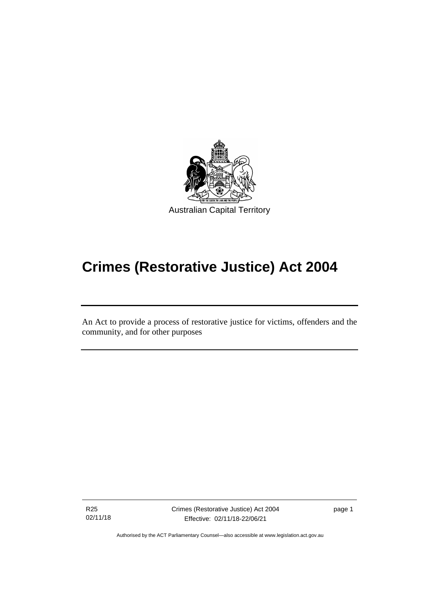

# **Crimes (Restorative Justice) Act 2004**

An Act to provide a process of restorative justice for victims, offenders and the community, and for other purposes

R25 02/11/18

ׅ֖֖֚֚֡֡֬֝֬

Crimes (Restorative Justice) Act 2004 Effective: 02/11/18-22/06/21

page 1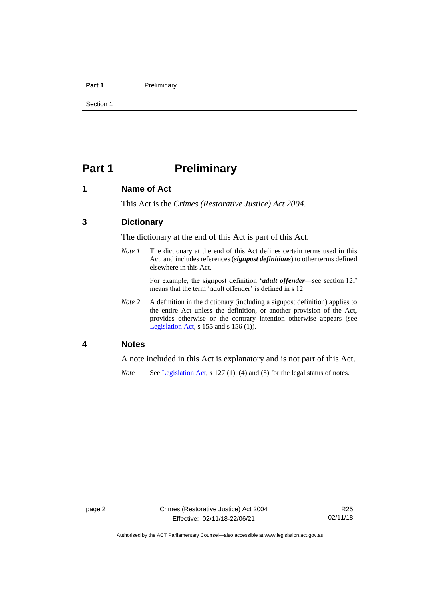#### **Part 1** Preliminary

Section 1

# <span id="page-9-0"></span>**Part 1 Preliminary**

### <span id="page-9-1"></span>**1 Name of Act**

This Act is the *Crimes (Restorative Justice) Act 2004*.

## <span id="page-9-2"></span>**3 Dictionary**

The dictionary at the end of this Act is part of this Act.

*Note 1* The dictionary at the end of this Act defines certain terms used in this Act, and includes references (*signpost definitions*) to other terms defined elsewhere in this Act.

> For example, the signpost definition '*adult offender*—see section 12.' means that the term 'adult offender' is defined in s 12.

*Note* 2 A definition in the dictionary (including a signpost definition) applies to the entire Act unless the definition, or another provision of the Act, provides otherwise or the contrary intention otherwise appears (see [Legislation Act,](http://www.legislation.act.gov.au/a/2001-14) s 155 and s 156 (1)).

### <span id="page-9-3"></span>**4 Notes**

A note included in this Act is explanatory and is not part of this Act.

*Note* See [Legislation Act,](http://www.legislation.act.gov.au/a/2001-14) s 127 (1), (4) and (5) for the legal status of notes.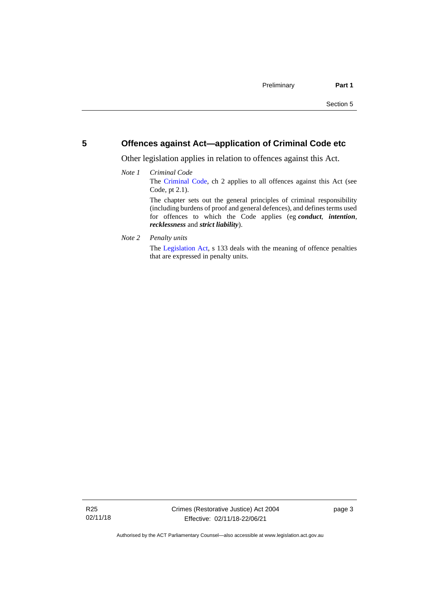### <span id="page-10-0"></span>**5 Offences against Act—application of Criminal Code etc**

Other legislation applies in relation to offences against this Act.

#### *Note 1 Criminal Code* The [Criminal Code,](http://www.legislation.act.gov.au/a/2002-51) ch 2 applies to all offences against this Act (see Code, pt 2.1). The chapter sets out the general principles of criminal responsibility (including burdens of proof and general defences), and defines terms used for offences to which the Code applies (eg *conduct*, *intention*, *recklessness* and *strict liability*).

*Note 2 Penalty units*

The [Legislation Act,](http://www.legislation.act.gov.au/a/2001-14) s 133 deals with the meaning of offence penalties that are expressed in penalty units.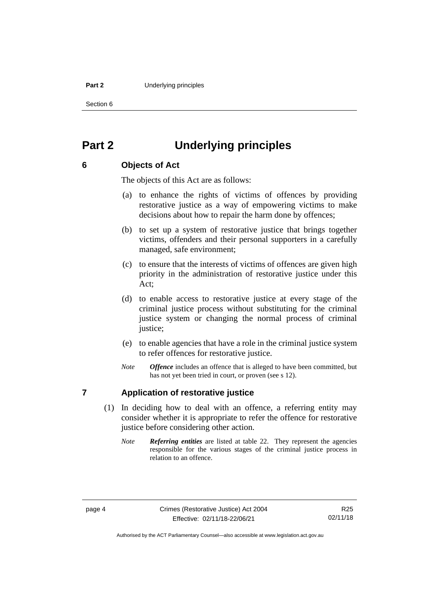#### **Part 2 Underlying principles**

Section 6

# <span id="page-11-0"></span>**Part 2 Underlying principles**

# <span id="page-11-1"></span>**6 Objects of Act**

The objects of this Act are as follows:

- (a) to enhance the rights of victims of offences by providing restorative justice as a way of empowering victims to make decisions about how to repair the harm done by offences;
- (b) to set up a system of restorative justice that brings together victims, offenders and their personal supporters in a carefully managed, safe environment;
- (c) to ensure that the interests of victims of offences are given high priority in the administration of restorative justice under this Act;
- (d) to enable access to restorative justice at every stage of the criminal justice process without substituting for the criminal justice system or changing the normal process of criminal justice;
- (e) to enable agencies that have a role in the criminal justice system to refer offences for restorative justice.
- *Note Offence* includes an offence that is alleged to have been committed, but has not yet been tried in court, or proven (see s 12).

# <span id="page-11-2"></span>**7 Application of restorative justice**

- (1) In deciding how to deal with an offence, a referring entity may consider whether it is appropriate to refer the offence for restorative justice before considering other action.
	- *Note Referring entities* are listed at table 22. They represent the agencies responsible for the various stages of the criminal justice process in relation to an offence.

Authorised by the ACT Parliamentary Counsel—also accessible at www.legislation.act.gov.au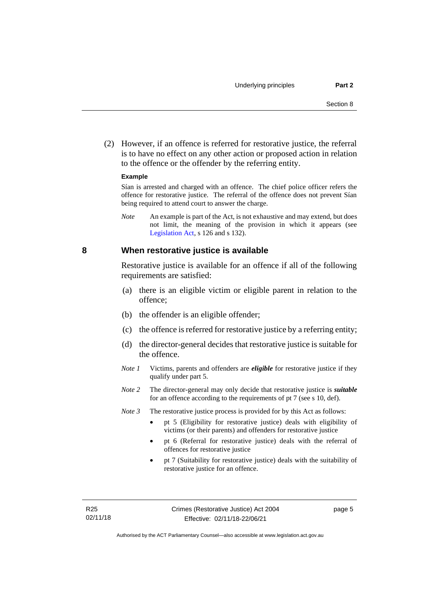(2) However, if an offence is referred for restorative justice, the referral is to have no effect on any other action or proposed action in relation to the offence or the offender by the referring entity.

#### **Example**

Sían is arrested and charged with an offence. The chief police officer refers the offence for restorative justice. The referral of the offence does not prevent Sían being required to attend court to answer the charge.

*Note* An example is part of the Act, is not exhaustive and may extend, but does not limit, the meaning of the provision in which it appears (see [Legislation Act,](http://www.legislation.act.gov.au/a/2001-14) s 126 and s 132).

#### <span id="page-12-0"></span>**8 When restorative justice is available**

Restorative justice is available for an offence if all of the following requirements are satisfied:

- (a) there is an eligible victim or eligible parent in relation to the offence;
- (b) the offender is an eligible offender;
- (c) the offence is referred for restorative justice by a referring entity;
- (d) the director-general decides that restorative justice is suitable for the offence.
- *Note 1* Victims, parents and offenders are *eligible* for restorative justice if they qualify under part 5.
- *Note 2* The director-general may only decide that restorative justice is *suitable*  for an offence according to the requirements of pt 7 (see s 10, def).

*Note 3* The restorative justice process is provided for by this Act as follows:

- pt 5 (Eligibility for restorative justice) deals with eligibility of victims (or their parents) and offenders for restorative justice
- pt 6 (Referral for restorative justice) deals with the referral of offences for restorative justice
- pt 7 (Suitability for restorative justice) deals with the suitability of restorative justice for an offence.

page 5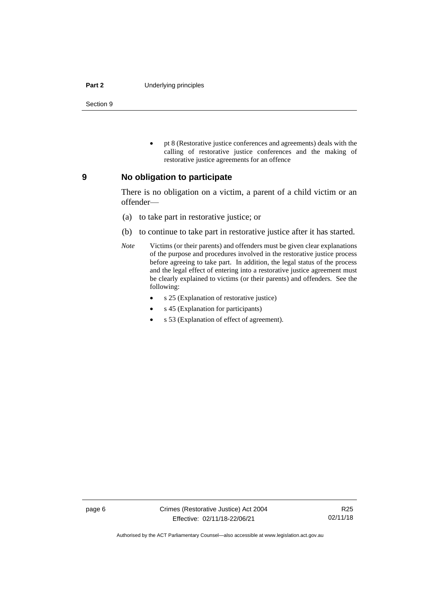#### **Part 2 Underlying principles**

Section 9

• pt 8 (Restorative justice conferences and agreements) deals with the calling of restorative justice conferences and the making of restorative justice agreements for an offence

#### <span id="page-13-0"></span>**9 No obligation to participate**

There is no obligation on a victim, a parent of a child victim or an offender—

- (a) to take part in restorative justice; or
- (b) to continue to take part in restorative justice after it has started.
- *Note* Victims (or their parents) and offenders must be given clear explanations of the purpose and procedures involved in the restorative justice process before agreeing to take part. In addition, the legal status of the process and the legal effect of entering into a restorative justice agreement must be clearly explained to victims (or their parents) and offenders. See the following:
	- s 25 (Explanation of restorative justice)
	- s 45 (Explanation for participants)
	- s 53 (Explanation of effect of agreement).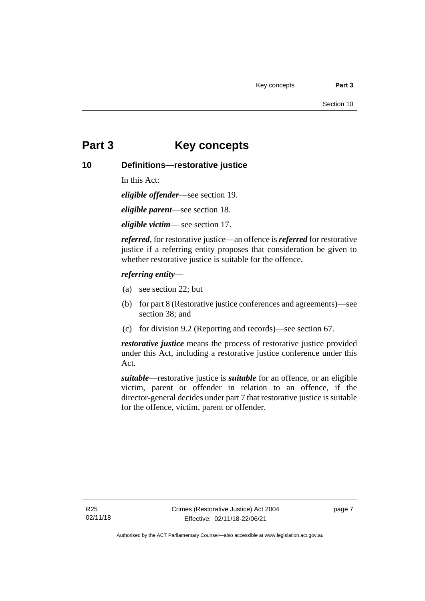# <span id="page-14-0"></span>**Part 3 Key concepts**

# <span id="page-14-1"></span>**10 Definitions—restorative justice**

In this Act:

*eligible offender*—see section 19.

*eligible parent*—see section 18.

*eligible victim*— see section 17.

*referred*, for restorative justice—an offence is *referred* for restorative justice if a referring entity proposes that consideration be given to whether restorative justice is suitable for the offence.

#### *referring entity*—

- (a) see section 22; but
- (b) for part 8 (Restorative justice conferences and agreements)—see section 38; and
- (c) for division 9.2 (Reporting and records)—see section 67.

*restorative justice* means the process of restorative justice provided under this Act, including a restorative justice conference under this Act.

*suitable*—restorative justice is *suitable* for an offence, or an eligible victim, parent or offender in relation to an offence, if the director-general decides under part 7 that restorative justice is suitable for the offence, victim, parent or offender.

page 7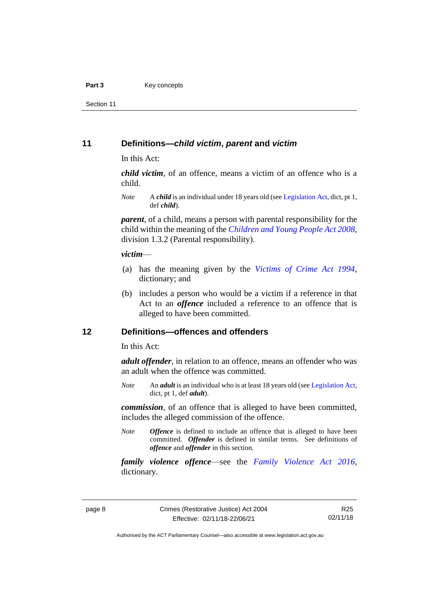#### Part 3 **Key concepts**

Section 11

#### <span id="page-15-0"></span>**11 Definitions—***child victim***,** *parent* **and** *victim*

In this Act:

*child victim*, of an offence, means a victim of an offence who is a child.

*Note* A *child* is an individual under 18 years old (se[e Legislation Act,](http://www.legislation.act.gov.au/a/2001-14) dict, pt 1, def *child*).

*parent*, of a child, means a person with parental responsibility for the child within the meaning of the *[Children and Young People Act 2008](http://www.legislation.act.gov.au/a/2008-19)*, division 1.3.2 (Parental responsibility).

#### *victim*—

- (a) has the meaning given by the *[Victims of Crime Act 1994](http://www.legislation.act.gov.au/a/1994-83)*, dictionary; and
- (b) includes a person who would be a victim if a reference in that Act to an *offence* included a reference to an offence that is alleged to have been committed.

### <span id="page-15-1"></span>**12 Definitions—offences and offenders**

In this Act:

*adult offender*, in relation to an offence, means an offender who was an adult when the offence was committed.

*Note* An *adult* is an individual who is at least 18 years old (se[e Legislation Act,](http://www.legislation.act.gov.au/a/2001-14) dict, pt 1, def *adult*).

*commission*, of an offence that is alleged to have been committed, includes the alleged commission of the offence.

*Note Offence* is defined to include an offence that is alleged to have been committed. *Offender* is defined in similar terms. See definitions of *offence* and *offender* in this section.

*family violence offence*—see the *[Family Violence Act 2016](http://www.legislation.act.gov.au/a/2016-42)*, dictionary*.*

R25 02/11/18

Authorised by the ACT Parliamentary Counsel—also accessible at www.legislation.act.gov.au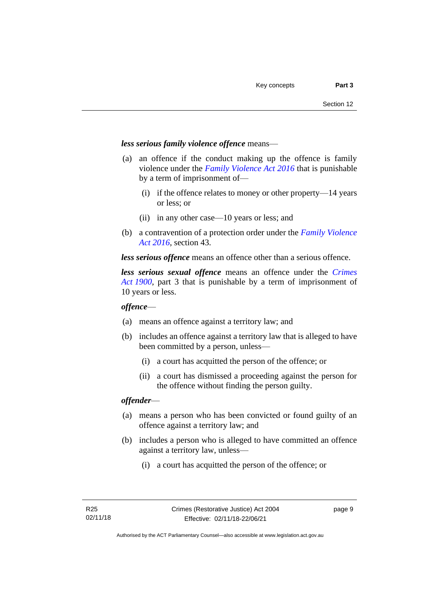#### *less serious family violence offence* means—

- (a) an offence if the conduct making up the offence is family violence under the *[Family Violence Act 2016](http://www.legislation.act.gov.au/a/2016-42)* that is punishable by a term of imprisonment of—
	- (i) if the offence relates to money or other property—14 years or less; or
	- (ii) in any other case—10 years or less; and
- (b) a contravention of a protection order under the *[Family Violence](http://www.legislation.act.gov.au/a/2016-42)  [Act 2016](http://www.legislation.act.gov.au/a/2016-42)*, section 43.

*less serious offence* means an offence other than a serious offence.

*less serious sexual offence* means an offence under the *[Crimes](http://www.legislation.act.gov.au/a/1900-40)  Act [1900](http://www.legislation.act.gov.au/a/1900-40)*, part 3 that is punishable by a term of imprisonment of 10 years or less.

#### *offence*—

- (a) means an offence against a territory law; and
- (b) includes an offence against a territory law that is alleged to have been committed by a person, unless—
	- (i) a court has acquitted the person of the offence; or
	- (ii) a court has dismissed a proceeding against the person for the offence without finding the person guilty.

#### *offender*—

- (a) means a person who has been convicted or found guilty of an offence against a territory law; and
- (b) includes a person who is alleged to have committed an offence against a territory law, unless—
	- (i) a court has acquitted the person of the offence; or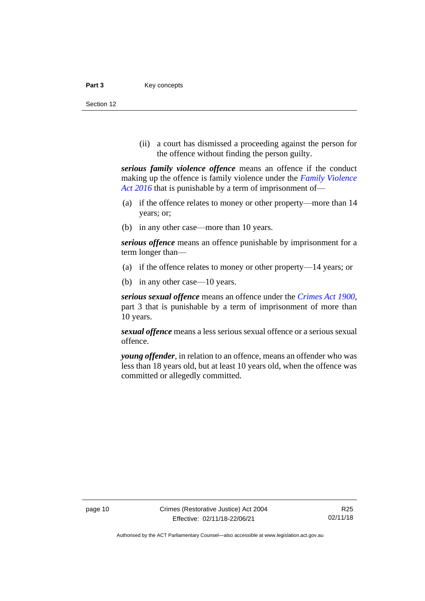#### Part 3 **Key concepts**

Section 12

(ii) a court has dismissed a proceeding against the person for the offence without finding the person guilty.

*serious family violence offence* means an offence if the conduct making up the offence is family violence under the *[Family Violence](http://www.legislation.act.gov.au/a/2016-42)  Act [2016](http://www.legislation.act.gov.au/a/2016-42)* that is punishable by a term of imprisonment of—

- (a) if the offence relates to money or other property—more than 14 years; or;
- (b) in any other case—more than 10 years.

*serious offence* means an offence punishable by imprisonment for a term longer than—

- (a) if the offence relates to money or other property—14 years; or
- (b) in any other case—10 years.

*serious sexual offence* means an offence under the *[Crimes Act](http://www.legislation.act.gov.au/a/1900-40) 1900*, part 3 that is punishable by a term of imprisonment of more than 10 years.

*sexual offence* means a less serious sexual offence or a serious sexual offence.

*young offender*, in relation to an offence, means an offender who was less than 18 years old, but at least 10 years old, when the offence was committed or allegedly committed.

Authorised by the ACT Parliamentary Counsel—also accessible at www.legislation.act.gov.au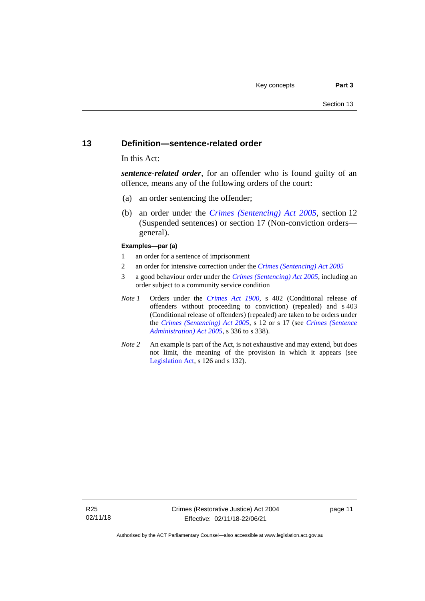#### <span id="page-18-0"></span>**13 Definition—sentence-related order**

In this Act:

*sentence-related order*, for an offender who is found guilty of an offence, means any of the following orders of the court:

- (a) an order sentencing the offender;
- (b) an order under the *[Crimes \(Sentencing\) Act 2005](http://www.legislation.act.gov.au/a/2005-58)*, section 12 (Suspended sentences) or section 17 (Non-conviction orders general).

#### **Examples—par (a)**

- 1 an order for a sentence of imprisonment
- 2 an order for intensive correction under the *[Crimes \(Sentencing\) Act](http://www.legislation.act.gov.au/a/2005-58) 2005*
- 3 a good behaviour order under the *[Crimes \(Sentencing\) Act 2005](http://www.legislation.act.gov.au/a/2005-58)*, including an order subject to a community service condition
- *Note 1* Orders under the *[Crimes Act 1900](http://www.legislation.act.gov.au/a/1900-40)*, s 402 (Conditional release of offenders without proceeding to conviction) (repealed) and s 403 (Conditional release of offenders) (repealed) are taken to be orders under the *[Crimes \(Sentencing\) Act 2005](http://www.legislation.act.gov.au/a/2005-58)*, s 12 or s 17 (see *[Crimes \(Sentence](http://www.legislation.act.gov.au/a/2005-59)  [Administration\) Act 2005](http://www.legislation.act.gov.au/a/2005-59)*, s 336 to s 338).
- *Note 2* An example is part of the Act, is not exhaustive and may extend, but does not limit, the meaning of the provision in which it appears (see [Legislation Act,](http://www.legislation.act.gov.au/a/2001-14) s 126 and s 132).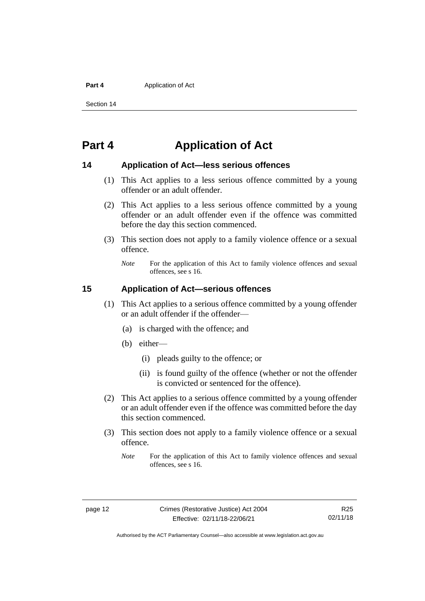#### **Part 4 Application of Act**

Section 14

# <span id="page-19-0"></span>**Part 4 Application of Act**

### <span id="page-19-1"></span>**14 Application of Act—less serious offences**

- (1) This Act applies to a less serious offence committed by a young offender or an adult offender.
- (2) This Act applies to a less serious offence committed by a young offender or an adult offender even if the offence was committed before the day this section commenced.
- (3) This section does not apply to a family violence offence or a sexual offence.
	- *Note* For the application of this Act to family violence offences and sexual offences, see s 16.

## <span id="page-19-2"></span>**15 Application of Act—serious offences**

- (1) This Act applies to a serious offence committed by a young offender or an adult offender if the offender—
	- (a) is charged with the offence; and
	- (b) either—
		- (i) pleads guilty to the offence; or
		- (ii) is found guilty of the offence (whether or not the offender is convicted or sentenced for the offence).
- (2) This Act applies to a serious offence committed by a young offender or an adult offender even if the offence was committed before the day this section commenced.
- (3) This section does not apply to a family violence offence or a sexual offence.
	- *Note* For the application of this Act to family violence offences and sexual offences, see s 16.

Authorised by the ACT Parliamentary Counsel—also accessible at www.legislation.act.gov.au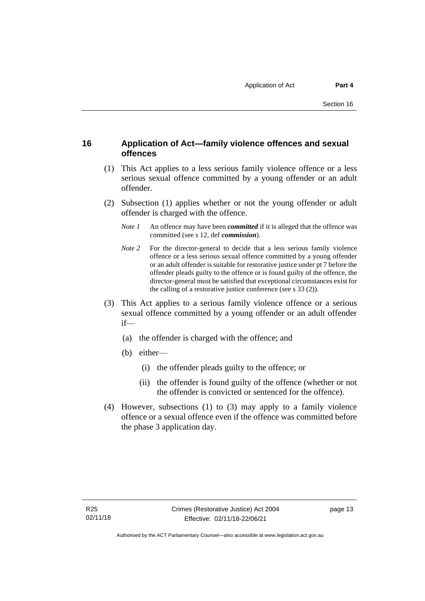# <span id="page-20-0"></span>**16 Application of Act—family violence offences and sexual offences**

- (1) This Act applies to a less serious family violence offence or a less serious sexual offence committed by a young offender or an adult offender.
- (2) Subsection (1) applies whether or not the young offender or adult offender is charged with the offence.
	- *Note 1* An offence may have been *committed* if it is alleged that the offence was committed (see s 12, def *commission*).
	- *Note* 2 For the director-general to decide that a less serious family violence offence or a less serious sexual offence committed by a young offender or an adult offender is suitable for restorative justice under pt 7 before the offender pleads guilty to the offence or is found guilty of the offence, the director-general must be satisfied that exceptional circumstances exist for the calling of a restorative justice conference (see s 33 (2)).
- (3) This Act applies to a serious family violence offence or a serious sexual offence committed by a young offender or an adult offender if—
	- (a) the offender is charged with the offence; and
	- (b) either—
		- (i) the offender pleads guilty to the offence; or
		- (ii) the offender is found guilty of the offence (whether or not the offender is convicted or sentenced for the offence).
- (4) However, subsections (1) to (3) may apply to a family violence offence or a sexual offence even if the offence was committed before the phase 3 application day.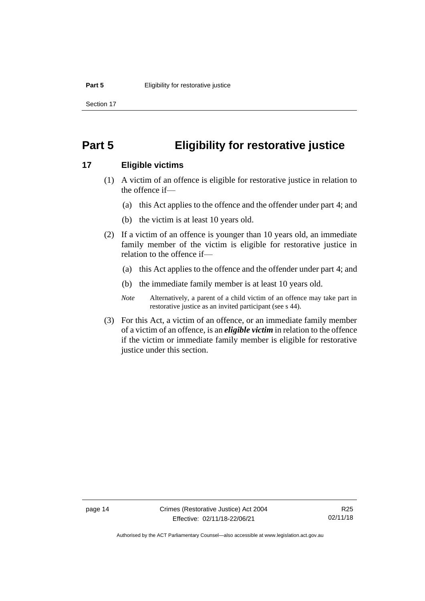Section 17

# <span id="page-21-0"></span>**Part 5 Eligibility for restorative justice**

### <span id="page-21-1"></span>**17 Eligible victims**

- (1) A victim of an offence is eligible for restorative justice in relation to the offence if—
	- (a) this Act applies to the offence and the offender under part 4; and
	- (b) the victim is at least 10 years old.
- (2) If a victim of an offence is younger than 10 years old, an immediate family member of the victim is eligible for restorative justice in relation to the offence if—
	- (a) this Act applies to the offence and the offender under part 4; and
	- (b) the immediate family member is at least 10 years old.
	- *Note* Alternatively, a parent of a child victim of an offence may take part in restorative justice as an invited participant (see s 44).
- (3) For this Act, a victim of an offence, or an immediate family member of a victim of an offence, is an *eligible victim* in relation to the offence if the victim or immediate family member is eligible for restorative justice under this section.

page 14 Crimes (Restorative Justice) Act 2004 Effective: 02/11/18-22/06/21

Authorised by the ACT Parliamentary Counsel—also accessible at www.legislation.act.gov.au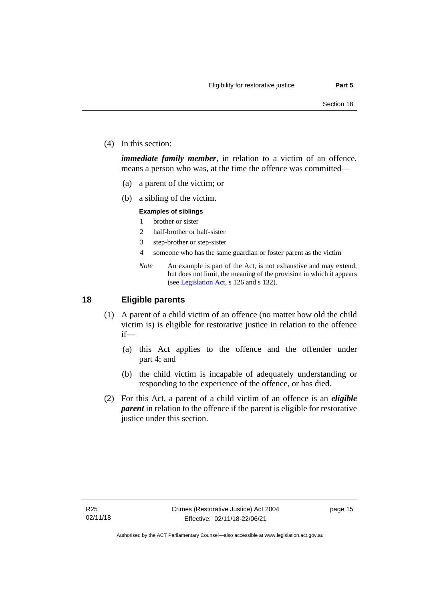(4) In this section:

*immediate family member*, in relation to a victim of an offence, means a person who was, at the time the offence was committed—

- (a) a parent of the victim; or
- (b) a sibling of the victim.

#### **Examples of siblings**

- 1 brother or sister
- 2 half-brother or half-sister
- 3 step-brother or step-sister
- 4 someone who has the same guardian or foster parent as the victim
- *Note* An example is part of the Act, is not exhaustive and may extend, but does not limit, the meaning of the provision in which it appears (se[e Legislation Act,](http://www.legislation.act.gov.au/a/2001-14) s 126 and s 132).

# <span id="page-22-0"></span>**18 Eligible parents**

- (1) A parent of a child victim of an offence (no matter how old the child victim is) is eligible for restorative justice in relation to the offence if—
	- (a) this Act applies to the offence and the offender under part 4; and
	- (b) the child victim is incapable of adequately understanding or responding to the experience of the offence, or has died.
- (2) For this Act, a parent of a child victim of an offence is an *eligible parent* in relation to the offence if the parent is eligible for restorative justice under this section.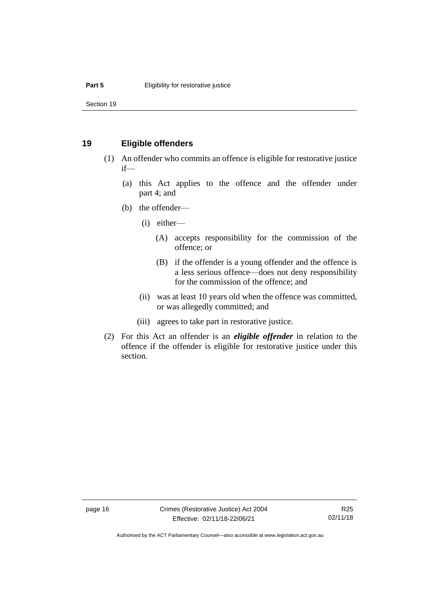Section 19

## <span id="page-23-0"></span>**19 Eligible offenders**

- (1) An offender who commits an offence is eligible for restorative justice if—
	- (a) this Act applies to the offence and the offender under part 4; and
	- (b) the offender—
		- (i) either—
			- (A) accepts responsibility for the commission of the offence; or
			- (B) if the offender is a young offender and the offence is a less serious offence—does not deny responsibility for the commission of the offence; and
		- (ii) was at least 10 years old when the offence was committed, or was allegedly committed; and
		- (iii) agrees to take part in restorative justice.
- (2) For this Act an offender is an *eligible offender* in relation to the offence if the offender is eligible for restorative justice under this section.

page 16 Crimes (Restorative Justice) Act 2004 Effective: 02/11/18-22/06/21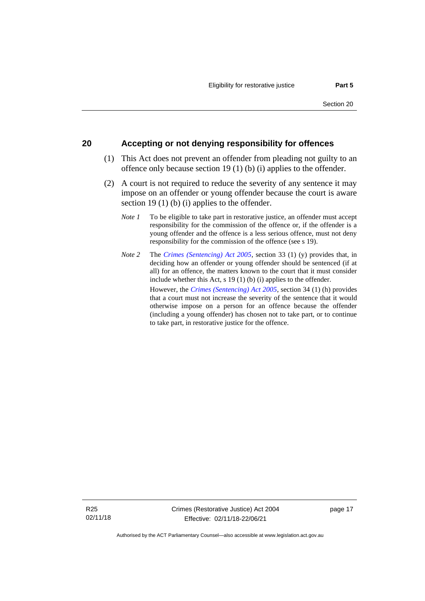## <span id="page-24-0"></span>**20 Accepting or not denying responsibility for offences**

- (1) This Act does not prevent an offender from pleading not guilty to an offence only because section 19 (1) (b) (i) applies to the offender.
- (2) A court is not required to reduce the severity of any sentence it may impose on an offender or young offender because the court is aware section 19 (1) (b) (i) applies to the offender.
	- *Note 1* To be eligible to take part in restorative justice, an offender must accept responsibility for the commission of the offence or, if the offender is a young offender and the offence is a less serious offence, must not deny responsibility for the commission of the offence (see s 19).
	- *Note 2* The *[Crimes \(Sentencing\) Act 2005](http://www.legislation.act.gov.au/a/2005-58)*, section 33 (1) (y) provides that, in deciding how an offender or young offender should be sentenced (if at all) for an offence, the matters known to the court that it must consider include whether this Act, s 19 (1) (b) (i) applies to the offender. However, the *[Crimes \(Sentencing\) Act 2005](http://www.legislation.act.gov.au/a/2005-58)*, section 34 (1) (h) provides that a court must not increase the severity of the sentence that it would otherwise impose on a person for an offence because the offender (including a young offender) has chosen not to take part, or to continue to take part, in restorative justice for the offence.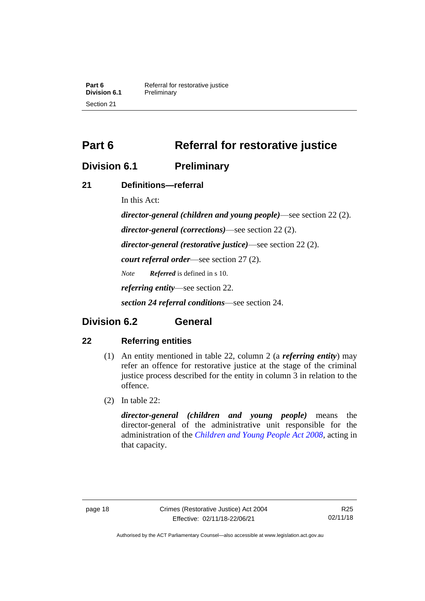# <span id="page-25-0"></span>**Part 6 Referral for restorative justice**

# <span id="page-25-1"></span>**Division 6.1 Preliminary**

# <span id="page-25-2"></span>**21 Definitions—referral**

In this Act:

*director-general (children and young people)*—see section 22 (2). *director-general (corrections)*—see section 22 (2). *director-general (restorative justice)*—see section 22 (2). *court referral order*—see section 27 (2). *Note Referred* is defined in s 10. *referring entity*—see section 22. *section 24 referral conditions*—see section 24.

# <span id="page-25-3"></span>**Division 6.2 General**

# <span id="page-25-4"></span>**22 Referring entities**

- (1) An entity mentioned in table 22, column 2 (a *referring entity*) may refer an offence for restorative justice at the stage of the criminal justice process described for the entity in column 3 in relation to the offence.
- (2) In table 22:

*director-general (children and young people)* means the director-general of the administrative unit responsible for the administration of the *[Children and Young People Act 2008](http://www.legislation.act.gov.au/a/2008-19)*, acting in that capacity.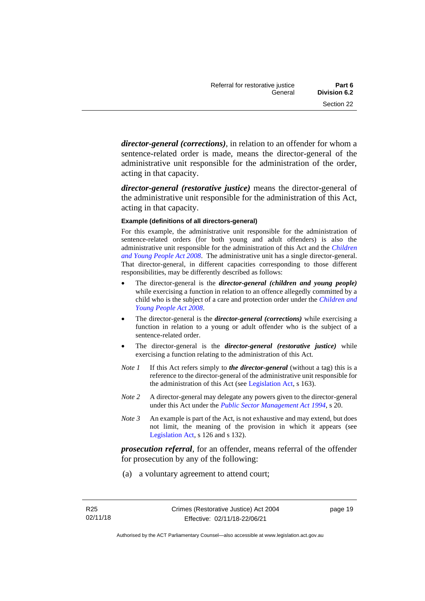*director-general (corrections)*, in relation to an offender for whom a sentence-related order is made, means the director-general of the administrative unit responsible for the administration of the order, acting in that capacity.

*director-general (restorative justice)* means the director-general of the administrative unit responsible for the administration of this Act, acting in that capacity.

#### **Example (definitions of all directors-general)**

For this example, the administrative unit responsible for the administration of sentence-related orders (for both young and adult offenders) is also the administrative unit responsible for the administration of this Act and the *[Children](http://www.legislation.act.gov.au/a/2008-19)  [and Young People Act 2008](http://www.legislation.act.gov.au/a/2008-19)*. The administrative unit has a single director-general. That director-general, in different capacities corresponding to those different responsibilities, may be differently described as follows:

- The director-general is the *director-general (children and young people)*  while exercising a function in relation to an offence allegedly committed by a child who is the subject of a care and protection order under the *[Children and](http://www.legislation.act.gov.au/a/2008-19)  [Young People Act 2008](http://www.legislation.act.gov.au/a/2008-19)*.
- The director-general is the *director-general (corrections)* while exercising a function in relation to a young or adult offender who is the subject of a sentence-related order.
- The director-general is the *director-general (restorative justice)* while exercising a function relating to the administration of this Act.
- *Note 1* If this Act refers simply to *the director-general* (without a tag) this is a reference to the director-general of the administrative unit responsible for the administration of this Act (see [Legislation Act,](http://www.legislation.act.gov.au/a/2001-14) s 163).
- *Note 2* A director-general may delegate any powers given to the director-general under this Act under the *[Public Sector Management Act](http://www.legislation.act.gov.au/a/1994-37) 1994*, s 20.
- *Note 3* An example is part of the Act, is not exhaustive and may extend, but does not limit, the meaning of the provision in which it appears (see [Legislation Act,](http://www.legislation.act.gov.au/a/2001-14) s 126 and s 132).

*prosecution referral*, for an offender, means referral of the offender for prosecution by any of the following:

(a) a voluntary agreement to attend court;

page 19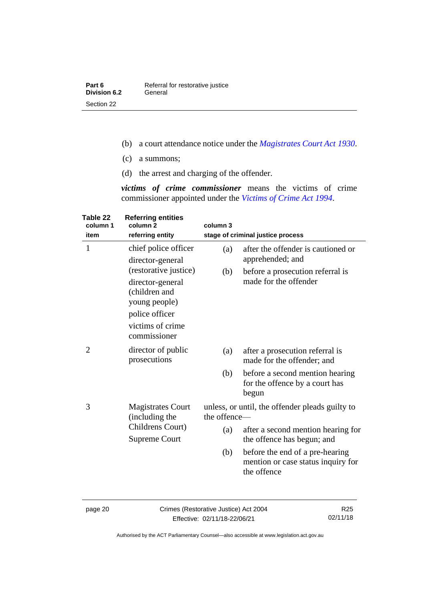- (b) a court attendance notice under the *[Magistrates Court Act](http://www.legislation.act.gov.au/a/1930-21) 1930*.
- (c) a summons;
- (d) the arrest and charging of the offender.

*victims of crime commissioner* means the victims of crime commissioner appointed under the *[Victims of Crime Act 1994](http://www.legislation.act.gov.au/a/1994-83)*.

| Table 22<br>column 1<br>item | <b>Referring entities</b><br>column <sub>2</sub><br>referring entity                                                              | column 3                                                        | stage of criminal justice process                                                    |
|------------------------------|-----------------------------------------------------------------------------------------------------------------------------------|-----------------------------------------------------------------|--------------------------------------------------------------------------------------|
| $\mathbf{1}$                 | chief police officer<br>director-general                                                                                          | (a)                                                             | after the offender is cautioned or<br>apprehended; and                               |
|                              | (restorative justice)<br>director-general<br>(children and<br>young people)<br>police officer<br>victims of crime<br>commissioner | (b)                                                             | before a prosecution referral is<br>made for the offender                            |
| 2                            | director of public<br>prosecutions                                                                                                | (a)                                                             | after a prosecution referral is<br>made for the offender; and                        |
|                              |                                                                                                                                   | (b)                                                             | before a second mention hearing<br>for the offence by a court has<br>begun           |
| 3                            | <b>Magistrates Court</b><br>(including the<br>Childrens Court)<br>Supreme Court                                                   | unless, or until, the offender pleads guilty to<br>the offence- |                                                                                      |
|                              |                                                                                                                                   | (a)                                                             | after a second mention hearing for<br>the offence has begun; and                     |
|                              |                                                                                                                                   | (b)                                                             | before the end of a pre-hearing<br>mention or case status inquiry for<br>the offence |
|                              |                                                                                                                                   |                                                                 |                                                                                      |

page 20 Crimes (Restorative Justice) Act 2004 Effective: 02/11/18-22/06/21

R25 02/11/18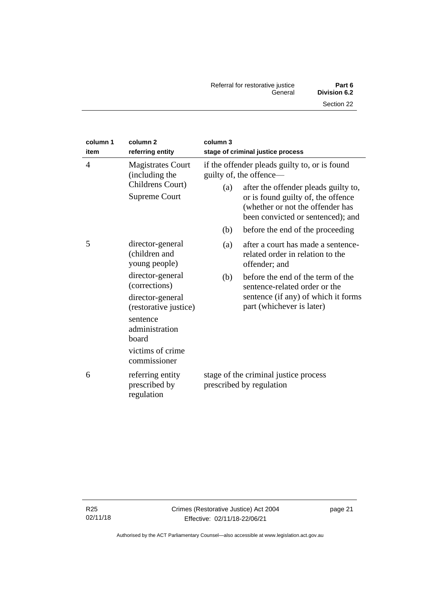| Referral for restorative justice | Part 6       |
|----------------------------------|--------------|
| General                          | Division 6.2 |
|                                  | Section 22   |

| column 1<br>item | column <sub>2</sub><br>referring entity                                                                                                                                                                         | column 3<br>stage of criminal justice process                                                                                                                                                                                                                                     |                                                                                                                                                                                     |
|------------------|-----------------------------------------------------------------------------------------------------------------------------------------------------------------------------------------------------------------|-----------------------------------------------------------------------------------------------------------------------------------------------------------------------------------------------------------------------------------------------------------------------------------|-------------------------------------------------------------------------------------------------------------------------------------------------------------------------------------|
| $\overline{4}$   | <b>Magistrates Court</b><br>(including the<br>Childrens Court)<br><b>Supreme Court</b>                                                                                                                          | if the offender pleads guilty to, or is found<br>guilty of, the offence—<br>after the offender pleads guilty to,<br>(a)<br>or is found guilty of, the offence<br>(whether or not the offender has<br>been convicted or sentenced); and<br>(b)<br>before the end of the proceeding |                                                                                                                                                                                     |
| 5                | director-general<br>(children and<br>young people)<br>director-general<br>(corrections)<br>director-general<br>(restorative justice)<br>sentence<br>administration<br>board<br>victims of crime<br>commissioner | (a)<br>offender; and<br>(b)<br>part (whichever is later)                                                                                                                                                                                                                          | after a court has made a sentence-<br>related order in relation to the<br>before the end of the term of the<br>sentence-related order or the<br>sentence (if any) of which it forms |
| 6                | referring entity<br>prescribed by<br>regulation                                                                                                                                                                 | stage of the criminal justice process<br>prescribed by regulation                                                                                                                                                                                                                 |                                                                                                                                                                                     |

page 21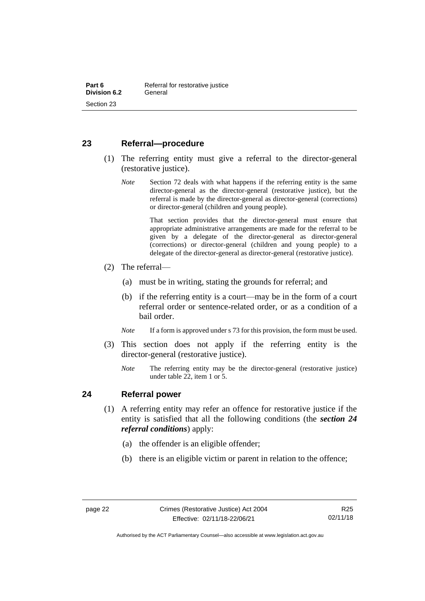## <span id="page-29-0"></span>**23 Referral—procedure**

- (1) The referring entity must give a referral to the director-general (restorative justice).
	- *Note* Section 72 deals with what happens if the referring entity is the same director-general as the director-general (restorative justice), but the referral is made by the director-general as director-general (corrections) or director-general (children and young people).

That section provides that the director-general must ensure that appropriate administrative arrangements are made for the referral to be given by a delegate of the director-general as director-general (corrections) or director-general (children and young people) to a delegate of the director-general as director-general (restorative justice).

- (2) The referral—
	- (a) must be in writing, stating the grounds for referral; and
	- (b) if the referring entity is a court—may be in the form of a court referral order or sentence-related order, or as a condition of a bail order.
	- *Note* If a form is approved under s 73 for this provision, the form must be used.
- (3) This section does not apply if the referring entity is the director-general (restorative justice).
	- *Note* The referring entity may be the director-general (restorative justice) under table 22, item 1 or 5.

## <span id="page-29-1"></span>**24 Referral power**

- (1) A referring entity may refer an offence for restorative justice if the entity is satisfied that all the following conditions (the *section 24 referral conditions*) apply:
	- (a) the offender is an eligible offender;
	- (b) there is an eligible victim or parent in relation to the offence;

Authorised by the ACT Parliamentary Counsel—also accessible at www.legislation.act.gov.au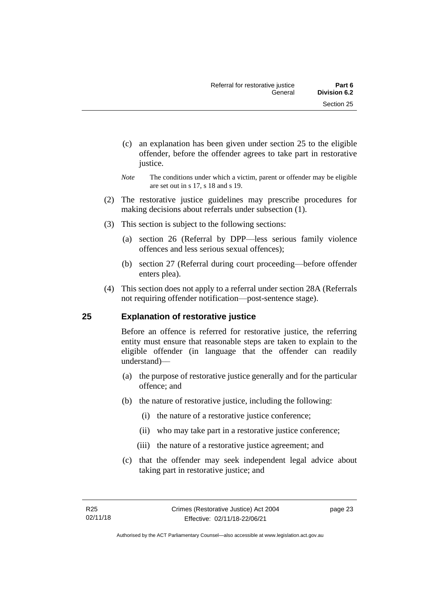- (c) an explanation has been given under section 25 to the eligible offender, before the offender agrees to take part in restorative justice.
- *Note* The conditions under which a victim, parent or offender may be eligible are set out in s 17, s 18 and s 19.
- (2) The restorative justice guidelines may prescribe procedures for making decisions about referrals under subsection (1).
- (3) This section is subject to the following sections:
	- (a) section 26 (Referral by DPP—less serious family violence offences and less serious sexual offences);
	- (b) section 27 (Referral during court proceeding—before offender enters plea).
- (4) This section does not apply to a referral under section 28A (Referrals not requiring offender notification—post-sentence stage).

# <span id="page-30-0"></span>**25 Explanation of restorative justice**

Before an offence is referred for restorative justice, the referring entity must ensure that reasonable steps are taken to explain to the eligible offender (in language that the offender can readily understand)––

- (a) the purpose of restorative justice generally and for the particular offence; and
- (b) the nature of restorative justice, including the following:
	- (i) the nature of a restorative justice conference;
	- (ii) who may take part in a restorative justice conference;
	- (iii) the nature of a restorative justice agreement; and
- (c) that the offender may seek independent legal advice about taking part in restorative justice; and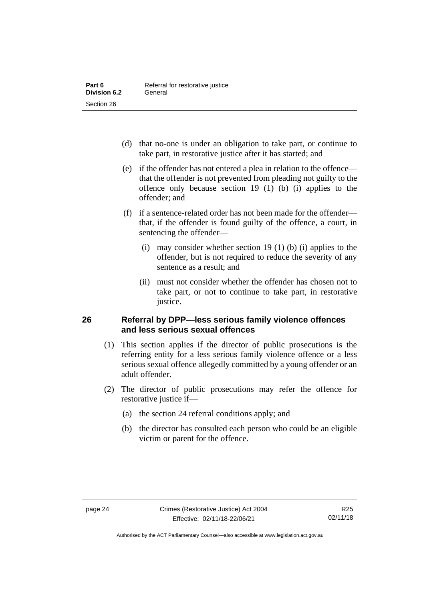- (d) that no-one is under an obligation to take part, or continue to take part, in restorative justice after it has started; and
- (e) if the offender has not entered a plea in relation to the offence that the offender is not prevented from pleading not guilty to the offence only because section 19 (1) (b) (i) applies to the offender; and
- (f) if a sentence-related order has not been made for the offender that, if the offender is found guilty of the offence, a court, in sentencing the offender—
	- (i) may consider whether section 19 (1) (b) (i) applies to the offender, but is not required to reduce the severity of any sentence as a result: and
	- (ii) must not consider whether the offender has chosen not to take part, or not to continue to take part, in restorative justice.

# <span id="page-31-0"></span>**26 Referral by DPP—less serious family violence offences and less serious sexual offences**

- (1) This section applies if the director of public prosecutions is the referring entity for a less serious family violence offence or a less serious sexual offence allegedly committed by a young offender or an adult offender.
- (2) The director of public prosecutions may refer the offence for restorative justice if—
	- (a) the section 24 referral conditions apply; and
	- (b) the director has consulted each person who could be an eligible victim or parent for the offence.

Authorised by the ACT Parliamentary Counsel—also accessible at www.legislation.act.gov.au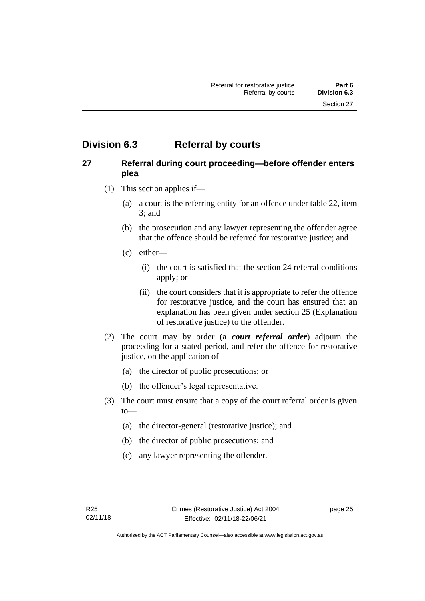# <span id="page-32-0"></span>**Division 6.3 Referral by courts**

# <span id="page-32-1"></span>**27 Referral during court proceeding—before offender enters plea**

- (1) This section applies if—
	- (a) a court is the referring entity for an offence under table 22, item 3; and
	- (b) the prosecution and any lawyer representing the offender agree that the offence should be referred for restorative justice; and
	- (c) either—
		- (i) the court is satisfied that the section 24 referral conditions apply; or
		- (ii) the court considers that it is appropriate to refer the offence for restorative justice, and the court has ensured that an explanation has been given under section 25 (Explanation of restorative justice) to the offender.
- (2) The court may by order (a *court referral order*) adjourn the proceeding for a stated period, and refer the offence for restorative justice, on the application of—
	- (a) the director of public prosecutions; or
	- (b) the offender's legal representative.
- (3) The court must ensure that a copy of the court referral order is given to—
	- (a) the director-general (restorative justice); and
	- (b) the director of public prosecutions; and
	- (c) any lawyer representing the offender.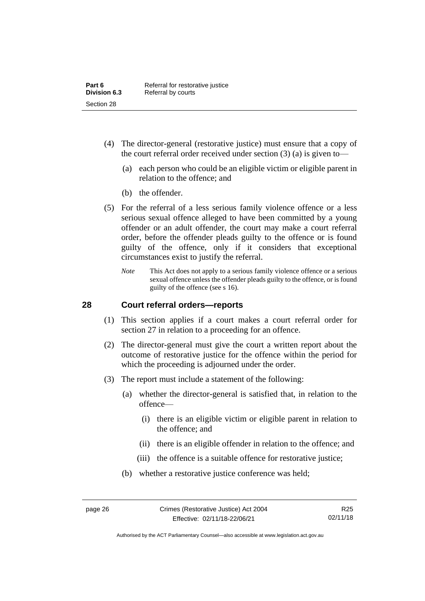- (4) The director-general (restorative justice) must ensure that a copy of the court referral order received under section (3) (a) is given to—
	- (a) each person who could be an eligible victim or eligible parent in relation to the offence; and
	- (b) the offender.
- (5) For the referral of a less serious family violence offence or a less serious sexual offence alleged to have been committed by a young offender or an adult offender, the court may make a court referral order, before the offender pleads guilty to the offence or is found guilty of the offence, only if it considers that exceptional circumstances exist to justify the referral.
	- *Note* This Act does not apply to a serious family violence offence or a serious sexual offence unless the offender pleads guilty to the offence, or is found guilty of the offence (see s 16).

### <span id="page-33-0"></span>**28 Court referral orders—reports**

- (1) This section applies if a court makes a court referral order for section 27 in relation to a proceeding for an offence.
- (2) The director-general must give the court a written report about the outcome of restorative justice for the offence within the period for which the proceeding is adjourned under the order.
- (3) The report must include a statement of the following:
	- (a) whether the director-general is satisfied that, in relation to the offence—
		- (i) there is an eligible victim or eligible parent in relation to the offence; and
		- (ii) there is an eligible offender in relation to the offence; and
		- (iii) the offence is a suitable offence for restorative justice;
	- (b) whether a restorative justice conference was held;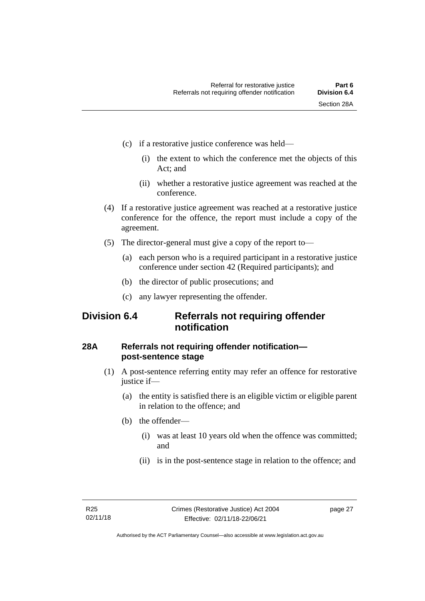- (c) if a restorative justice conference was held—
	- (i) the extent to which the conference met the objects of this Act; and
	- (ii) whether a restorative justice agreement was reached at the conference.
- (4) If a restorative justice agreement was reached at a restorative justice conference for the offence, the report must include a copy of the agreement.
- (5) The director-general must give a copy of the report to—
	- (a) each person who is a required participant in a restorative justice conference under section 42 (Required participants); and
	- (b) the director of public prosecutions; and
	- (c) any lawyer representing the offender.

# <span id="page-34-0"></span>**Division 6.4 Referrals not requiring offender notification**

# <span id="page-34-1"></span>**28A Referrals not requiring offender notification post-sentence stage**

- (1) A post-sentence referring entity may refer an offence for restorative justice if—
	- (a) the entity is satisfied there is an eligible victim or eligible parent in relation to the offence; and
	- (b) the offender—
		- (i) was at least 10 years old when the offence was committed; and
		- (ii) is in the post-sentence stage in relation to the offence; and

page 27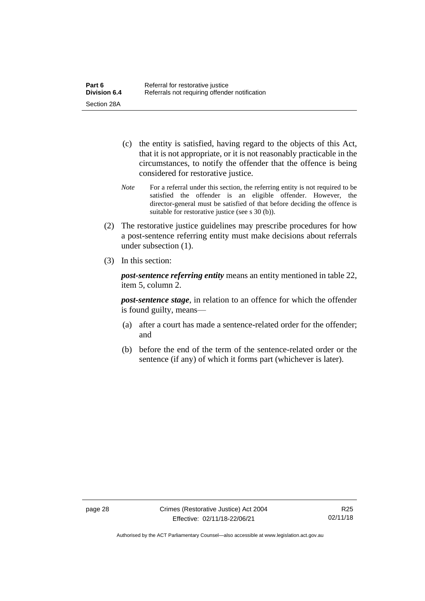- (c) the entity is satisfied, having regard to the objects of this Act, that it is not appropriate, or it is not reasonably practicable in the circumstances, to notify the offender that the offence is being considered for restorative justice.
- *Note* For a referral under this section, the referring entity is not required to be satisfied the offender is an eligible offender. However, the director-general must be satisfied of that before deciding the offence is suitable for restorative justice (see s 30 (b)).
- (2) The restorative justice guidelines may prescribe procedures for how a post-sentence referring entity must make decisions about referrals under subsection (1).
- (3) In this section:

*post-sentence referring entity* means an entity mentioned in table 22, item 5, column 2.

*post-sentence stage*, in relation to an offence for which the offender is found guilty, means—

- (a) after a court has made a sentence-related order for the offender; and
- (b) before the end of the term of the sentence-related order or the sentence (if any) of which it forms part (whichever is later).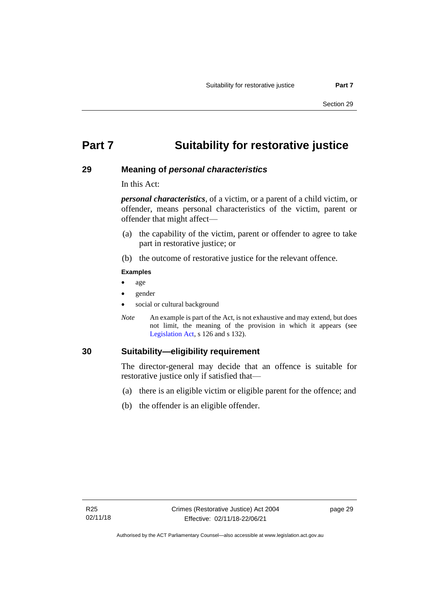# **Part 7 Suitability for restorative justice**

### **29 Meaning of** *personal characteristics*

In this Act:

*personal characteristics*, of a victim, or a parent of a child victim, or offender, means personal characteristics of the victim, parent or offender that might affect—

- (a) the capability of the victim, parent or offender to agree to take part in restorative justice; or
- (b) the outcome of restorative justice for the relevant offence.

#### **Examples**

- age
- gender
- social or cultural background
- *Note* An example is part of the Act, is not exhaustive and may extend, but does not limit, the meaning of the provision in which it appears (see [Legislation Act,](http://www.legislation.act.gov.au/a/2001-14) s 126 and s 132).

### **30 Suitability—eligibility requirement**

The director-general may decide that an offence is suitable for restorative justice only if satisfied that—

- (a) there is an eligible victim or eligible parent for the offence; and
- (b) the offender is an eligible offender.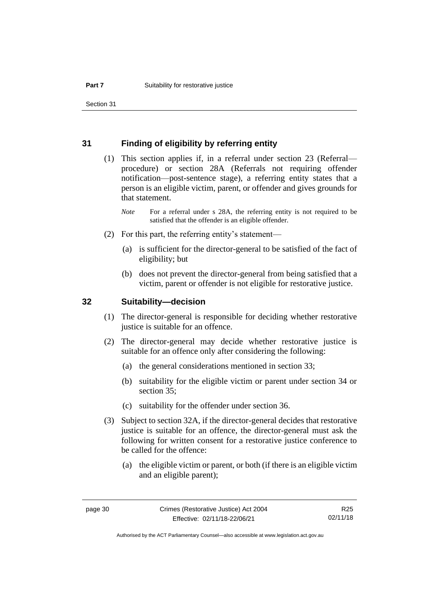### **31 Finding of eligibility by referring entity**

- (1) This section applies if, in a referral under section 23 (Referral procedure) or section 28A (Referrals not requiring offender notification—post-sentence stage), a referring entity states that a person is an eligible victim, parent, or offender and gives grounds for that statement.
	- *Note* For a referral under s 28A, the referring entity is not required to be satisfied that the offender is an eligible offender.
- (2) For this part, the referring entity's statement—
	- (a) is sufficient for the director-general to be satisfied of the fact of eligibility; but
	- (b) does not prevent the director-general from being satisfied that a victim, parent or offender is not eligible for restorative justice.

### **32 Suitability—decision**

- (1) The director-general is responsible for deciding whether restorative justice is suitable for an offence.
- (2) The director-general may decide whether restorative justice is suitable for an offence only after considering the following:
	- (a) the general considerations mentioned in section 33;
	- (b) suitability for the eligible victim or parent under section 34 or section 35;
	- (c) suitability for the offender under section 36.
- (3) Subject to section 32A, if the director-general decides that restorative justice is suitable for an offence, the director-general must ask the following for written consent for a restorative justice conference to be called for the offence:
	- (a) the eligible victim or parent, or both (if there is an eligible victim and an eligible parent);

R25 02/11/18

Authorised by the ACT Parliamentary Counsel—also accessible at www.legislation.act.gov.au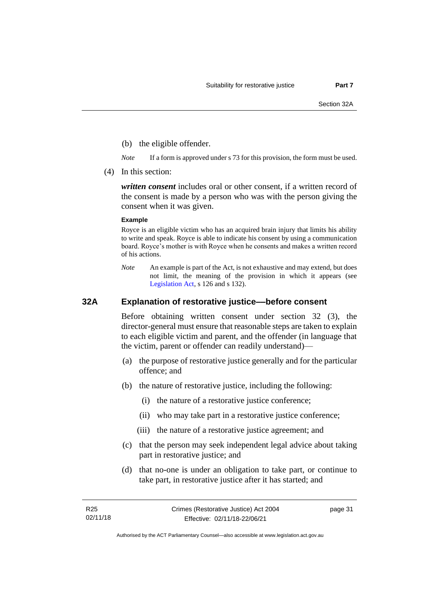- (b) the eligible offender.
- *Note* If a form is approved under s 73 for this provision, the form must be used.
- (4) In this section:

*written consent* includes oral or other consent, if a written record of the consent is made by a person who was with the person giving the consent when it was given.

#### **Example**

Royce is an eligible victim who has an acquired brain injury that limits his ability to write and speak. Royce is able to indicate his consent by using a communication board. Royce's mother is with Royce when he consents and makes a written record of his actions.

*Note* An example is part of the Act, is not exhaustive and may extend, but does not limit, the meaning of the provision in which it appears (see [Legislation Act,](http://www.legislation.act.gov.au/a/2001-14) s 126 and s 132).

### **32A Explanation of restorative justice––before consent**

Before obtaining written consent under section 32 (3), the director-general must ensure that reasonable steps are taken to explain to each eligible victim and parent, and the offender (in language that the victim, parent or offender can readily understand)—

- (a) the purpose of restorative justice generally and for the particular offence; and
- (b) the nature of restorative justice, including the following:
	- (i) the nature of a restorative justice conference;
	- (ii) who may take part in a restorative justice conference;
	- (iii) the nature of a restorative justice agreement; and
- (c) that the person may seek independent legal advice about taking part in restorative justice; and
- (d) that no-one is under an obligation to take part, or continue to take part, in restorative justice after it has started; and

page 31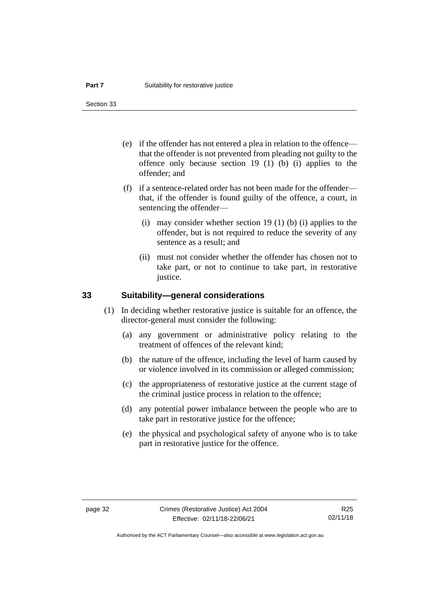Section 33

- (e) if the offender has not entered a plea in relation to the offence that the offender is not prevented from pleading not guilty to the offence only because section 19 (1) (b) (i) applies to the offender; and
- (f) if a sentence-related order has not been made for the offender that, if the offender is found guilty of the offence, a court, in sentencing the offender—
	- (i) may consider whether section 19 (1) (b) (i) applies to the offender, but is not required to reduce the severity of any sentence as a result; and
	- (ii) must not consider whether the offender has chosen not to take part, or not to continue to take part, in restorative justice.

### **33 Suitability—general considerations**

- (1) In deciding whether restorative justice is suitable for an offence, the director-general must consider the following:
	- (a) any government or administrative policy relating to the treatment of offences of the relevant kind;
	- (b) the nature of the offence, including the level of harm caused by or violence involved in its commission or alleged commission;
	- (c) the appropriateness of restorative justice at the current stage of the criminal justice process in relation to the offence;
	- (d) any potential power imbalance between the people who are to take part in restorative justice for the offence;
	- (e) the physical and psychological safety of anyone who is to take part in restorative justice for the offence.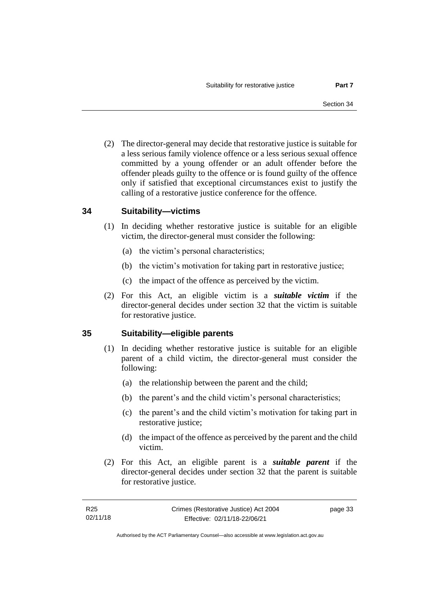(2) The director-general may decide that restorative justice is suitable for a less serious family violence offence or a less serious sexual offence committed by a young offender or an adult offender before the offender pleads guilty to the offence or is found guilty of the offence only if satisfied that exceptional circumstances exist to justify the calling of a restorative justice conference for the offence.

### **34 Suitability—victims**

- (1) In deciding whether restorative justice is suitable for an eligible victim, the director-general must consider the following:
	- (a) the victim's personal characteristics;
	- (b) the victim's motivation for taking part in restorative justice;
	- (c) the impact of the offence as perceived by the victim.
- (2) For this Act, an eligible victim is a *suitable victim* if the director-general decides under section 32 that the victim is suitable for restorative justice.

## **35 Suitability—eligible parents**

- (1) In deciding whether restorative justice is suitable for an eligible parent of a child victim, the director-general must consider the following:
	- (a) the relationship between the parent and the child;
	- (b) the parent's and the child victim's personal characteristics;
	- (c) the parent's and the child victim's motivation for taking part in restorative justice;
	- (d) the impact of the offence as perceived by the parent and the child victim.
- (2) For this Act, an eligible parent is a *suitable parent* if the director-general decides under section 32 that the parent is suitable for restorative justice.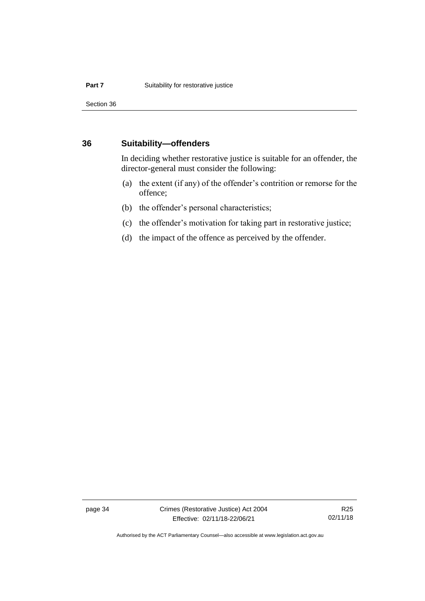Section 36

### **36 Suitability—offenders**

In deciding whether restorative justice is suitable for an offender, the director-general must consider the following:

- (a) the extent (if any) of the offender's contrition or remorse for the offence;
- (b) the offender's personal characteristics;
- (c) the offender's motivation for taking part in restorative justice;
- (d) the impact of the offence as perceived by the offender.

page 34 Crimes (Restorative Justice) Act 2004 Effective: 02/11/18-22/06/21

R25 02/11/18

Authorised by the ACT Parliamentary Counsel—also accessible at www.legislation.act.gov.au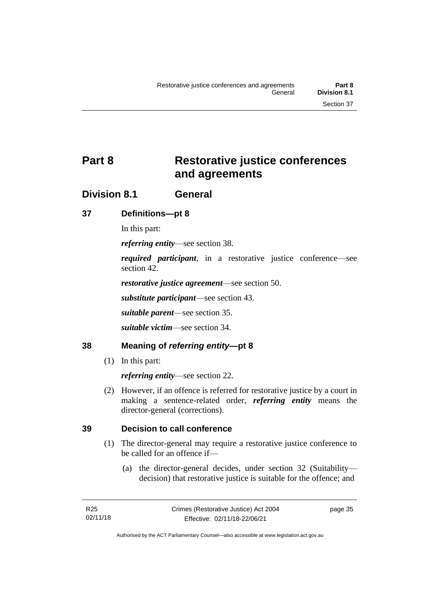# **Part 8 Restorative justice conferences and agreements**

## **Division 8.1 General**

## **37 Definitions—pt 8**

In this part:

*referring entity*—see section 38.

*required participant*, in a restorative justice conference—see section 42.

*restorative justice agreement*—see section 50.

*substitute participant*—see section 43.

*suitable parent*—see section 35.

*suitable victim*—see section 34.

## **38 Meaning of** *referring entity***—pt 8**

(1) In this part:

*referring entity*—see section 22.

(2) However, if an offence is referred for restorative justice by a court in making a sentence-related order, *referring entity* means the director-general (corrections).

## **39 Decision to call conference**

- (1) The director-general may require a restorative justice conference to be called for an offence if—
	- (a) the director-general decides, under section 32 (Suitability decision) that restorative justice is suitable for the offence; and

page 35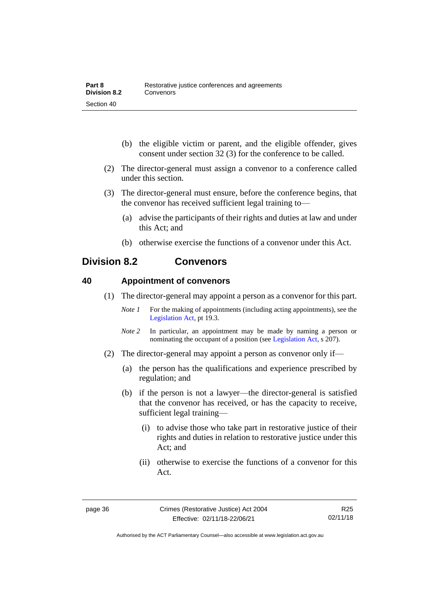- (b) the eligible victim or parent, and the eligible offender, gives consent under section 32 (3) for the conference to be called.
- (2) The director-general must assign a convenor to a conference called under this section.
- (3) The director-general must ensure, before the conference begins, that the convenor has received sufficient legal training to—
	- (a) advise the participants of their rights and duties at law and under this Act; and
	- (b) otherwise exercise the functions of a convenor under this Act.

## **Division 8.2 Convenors**

### **40 Appointment of convenors**

- (1) The director-general may appoint a person as a convenor for this part.
	- *Note 1* For the making of appointments (including acting appointments), see the [Legislation Act,](http://www.legislation.act.gov.au/a/2001-14) pt 19.3.
	- *Note 2* In particular, an appointment may be made by naming a person or nominating the occupant of a position (see [Legislation Act,](http://www.legislation.act.gov.au/a/2001-14) s 207).
- (2) The director-general may appoint a person as convenor only if—
	- (a) the person has the qualifications and experience prescribed by regulation; and
	- (b) if the person is not a lawyer—the director-general is satisfied that the convenor has received, or has the capacity to receive, sufficient legal training—
		- (i) to advise those who take part in restorative justice of their rights and duties in relation to restorative justice under this Act; and
		- (ii) otherwise to exercise the functions of a convenor for this Act.

R25 02/11/18

Authorised by the ACT Parliamentary Counsel—also accessible at www.legislation.act.gov.au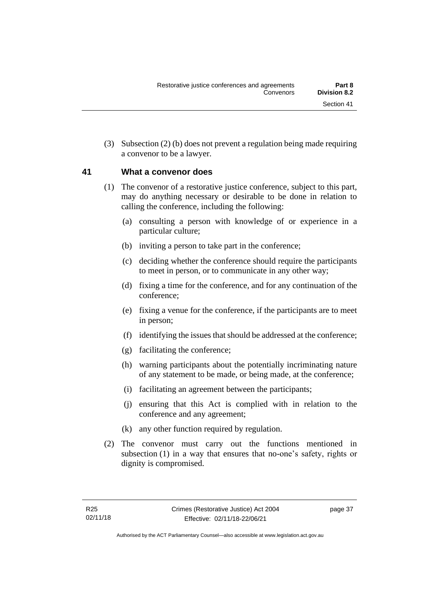(3) Subsection (2) (b) does not prevent a regulation being made requiring a convenor to be a lawyer.

### **41 What a convenor does**

- (1) The convenor of a restorative justice conference, subject to this part, may do anything necessary or desirable to be done in relation to calling the conference, including the following:
	- (a) consulting a person with knowledge of or experience in a particular culture;
	- (b) inviting a person to take part in the conference;
	- (c) deciding whether the conference should require the participants to meet in person, or to communicate in any other way;
	- (d) fixing a time for the conference, and for any continuation of the conference;
	- (e) fixing a venue for the conference, if the participants are to meet in person;
	- (f) identifying the issues that should be addressed at the conference;
	- (g) facilitating the conference;
	- (h) warning participants about the potentially incriminating nature of any statement to be made, or being made, at the conference;
	- (i) facilitating an agreement between the participants;
	- (j) ensuring that this Act is complied with in relation to the conference and any agreement;
	- (k) any other function required by regulation.
- (2) The convenor must carry out the functions mentioned in subsection (1) in a way that ensures that no-one's safety, rights or dignity is compromised.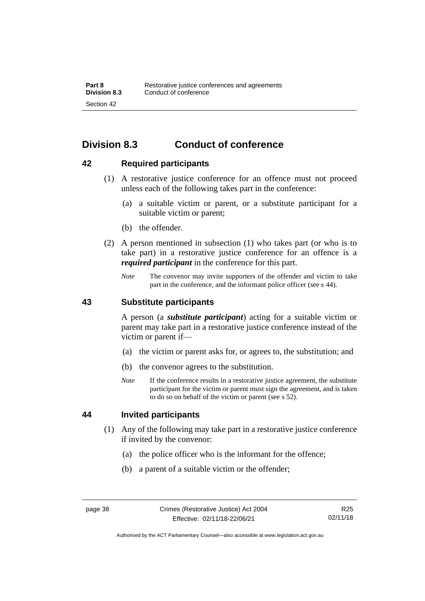# **Division 8.3 Conduct of conference**

### **42 Required participants**

- (1) A restorative justice conference for an offence must not proceed unless each of the following takes part in the conference:
	- (a) a suitable victim or parent, or a substitute participant for a suitable victim or parent;
	- (b) the offender.
- (2) A person mentioned in subsection (1) who takes part (or who is to take part) in a restorative justice conference for an offence is a *required participant* in the conference for this part.
	- *Note* The convenor may invite supporters of the offender and victim to take part in the conference, and the informant police officer (see s 44).

### **43 Substitute participants**

A person (a *substitute participant*) acting for a suitable victim or parent may take part in a restorative justice conference instead of the victim or parent if—

- (a) the victim or parent asks for, or agrees to, the substitution; and
- (b) the convenor agrees to the substitution.
- *Note* If the conference results in a restorative justice agreement, the substitute participant for the victim or parent must sign the agreement, and is taken to do so on behalf of the victim or parent (see s 52).

### **44 Invited participants**

- (1) Any of the following may take part in a restorative justice conference if invited by the convenor:
	- (a) the police officer who is the informant for the offence;
	- (b) a parent of a suitable victim or the offender;

Authorised by the ACT Parliamentary Counsel—also accessible at www.legislation.act.gov.au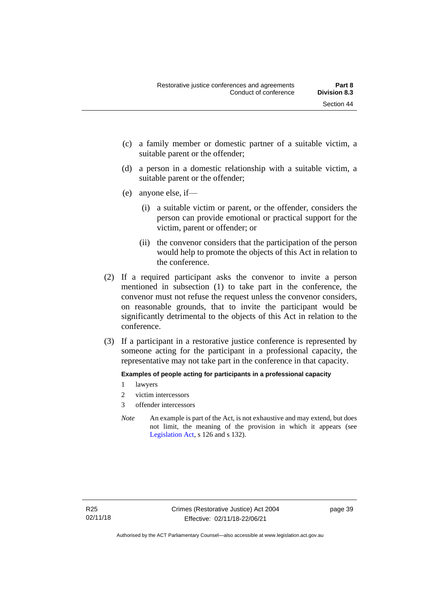- (c) a family member or domestic partner of a suitable victim, a suitable parent or the offender;
- (d) a person in a domestic relationship with a suitable victim, a suitable parent or the offender;
- (e) anyone else, if—
	- (i) a suitable victim or parent, or the offender, considers the person can provide emotional or practical support for the victim, parent or offender; or
	- (ii) the convenor considers that the participation of the person would help to promote the objects of this Act in relation to the conference.
- (2) If a required participant asks the convenor to invite a person mentioned in subsection (1) to take part in the conference, the convenor must not refuse the request unless the convenor considers, on reasonable grounds, that to invite the participant would be significantly detrimental to the objects of this Act in relation to the conference.
- (3) If a participant in a restorative justice conference is represented by someone acting for the participant in a professional capacity, the representative may not take part in the conference in that capacity.

### **Examples of people acting for participants in a professional capacity**

- 1 lawyers
- 2 victim intercessors
- 3 offender intercessors
- *Note* An example is part of the Act, is not exhaustive and may extend, but does not limit, the meaning of the provision in which it appears (see [Legislation Act,](http://www.legislation.act.gov.au/a/2001-14) s 126 and s 132).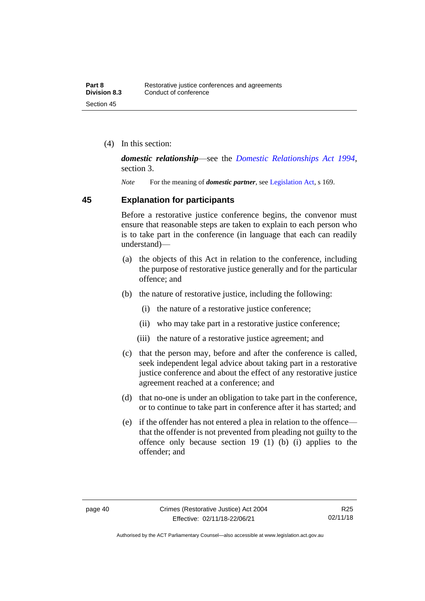(4) In this section:

*domestic relationship*—see the *[Domestic Relationships Act 1994](http://www.legislation.act.gov.au/a/1994-28)*, section 3.

*Note* For the meaning of *domestic partner*, see [Legislation Act,](http://www.legislation.act.gov.au/a/2001-14) s 169.

### **45 Explanation for participants**

Before a restorative justice conference begins, the convenor must ensure that reasonable steps are taken to explain to each person who is to take part in the conference (in language that each can readily understand)—

- (a) the objects of this Act in relation to the conference, including the purpose of restorative justice generally and for the particular offence; and
- (b) the nature of restorative justice, including the following:
	- (i) the nature of a restorative justice conference;
	- (ii) who may take part in a restorative justice conference;
	- (iii) the nature of a restorative justice agreement; and
- (c) that the person may, before and after the conference is called, seek independent legal advice about taking part in a restorative justice conference and about the effect of any restorative justice agreement reached at a conference; and
- (d) that no-one is under an obligation to take part in the conference, or to continue to take part in conference after it has started; and
- (e) if the offender has not entered a plea in relation to the offence that the offender is not prevented from pleading not guilty to the offence only because section 19 (1) (b) (i) applies to the offender; and

Authorised by the ACT Parliamentary Counsel—also accessible at www.legislation.act.gov.au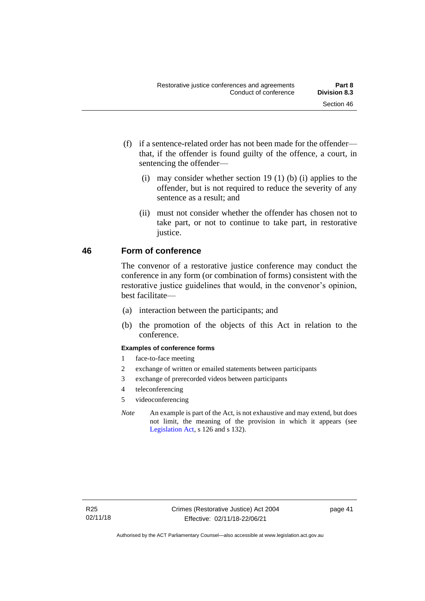- (f) if a sentence-related order has not been made for the offender that, if the offender is found guilty of the offence, a court, in sentencing the offender—
	- (i) may consider whether section 19 (1) (b) (i) applies to the offender, but is not required to reduce the severity of any sentence as a result; and
	- (ii) must not consider whether the offender has chosen not to take part, or not to continue to take part, in restorative justice.

### **46 Form of conference**

The convenor of a restorative justice conference may conduct the conference in any form (or combination of forms) consistent with the restorative justice guidelines that would, in the convenor's opinion, best facilitate—

- (a) interaction between the participants; and
- (b) the promotion of the objects of this Act in relation to the conference.

#### **Examples of conference forms**

- 1 face-to-face meeting
- 2 exchange of written or emailed statements between participants
- 3 exchange of prerecorded videos between participants
- 4 teleconferencing
- 5 videoconferencing
- *Note* An example is part of the Act, is not exhaustive and may extend, but does not limit, the meaning of the provision in which it appears (see [Legislation Act,](http://www.legislation.act.gov.au/a/2001-14) s 126 and s 132).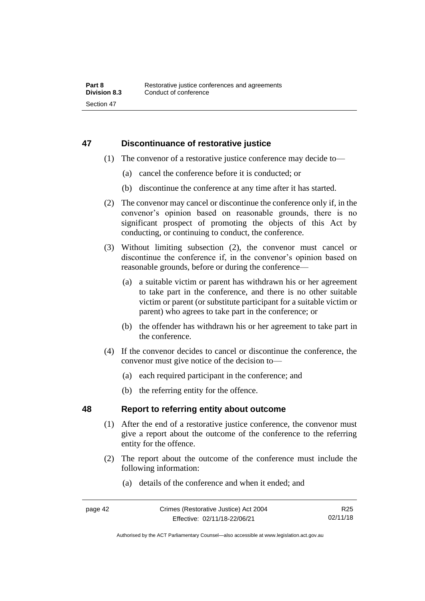### **47 Discontinuance of restorative justice**

- (1) The convenor of a restorative justice conference may decide to—
	- (a) cancel the conference before it is conducted; or
	- (b) discontinue the conference at any time after it has started.
- (2) The convenor may cancel or discontinue the conference only if, in the convenor's opinion based on reasonable grounds, there is no significant prospect of promoting the objects of this Act by conducting, or continuing to conduct, the conference.
- (3) Without limiting subsection (2), the convenor must cancel or discontinue the conference if, in the convenor's opinion based on reasonable grounds, before or during the conference—
	- (a) a suitable victim or parent has withdrawn his or her agreement to take part in the conference, and there is no other suitable victim or parent (or substitute participant for a suitable victim or parent) who agrees to take part in the conference; or
	- (b) the offender has withdrawn his or her agreement to take part in the conference.
- (4) If the convenor decides to cancel or discontinue the conference, the convenor must give notice of the decision to—
	- (a) each required participant in the conference; and
	- (b) the referring entity for the offence.

### **48 Report to referring entity about outcome**

- (1) After the end of a restorative justice conference, the convenor must give a report about the outcome of the conference to the referring entity for the offence.
- (2) The report about the outcome of the conference must include the following information:
	- (a) details of the conference and when it ended; and

R25 02/11/18

Authorised by the ACT Parliamentary Counsel—also accessible at www.legislation.act.gov.au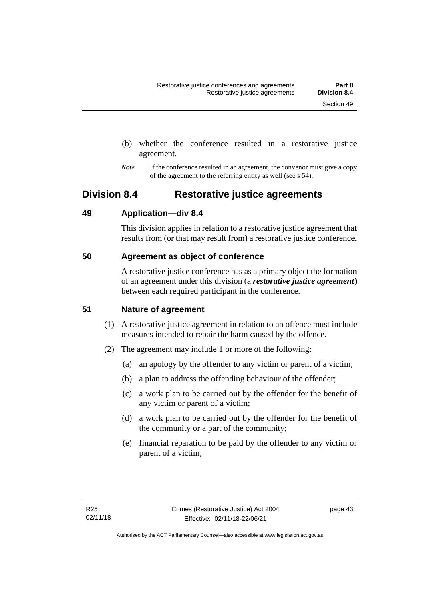- (b) whether the conference resulted in a restorative justice agreement.
- *Note* If the conference resulted in an agreement, the convenor must give a copy of the agreement to the referring entity as well (see s 54).

## **Division 8.4 Restorative justice agreements**

### **49 Application—div 8.4**

This division applies in relation to a restorative justice agreement that results from (or that may result from) a restorative justice conference.

## **50 Agreement as object of conference**

A restorative justice conference has as a primary object the formation of an agreement under this division (a *restorative justice agreement*) between each required participant in the conference.

## **51 Nature of agreement**

- (1) A restorative justice agreement in relation to an offence must include measures intended to repair the harm caused by the offence.
- (2) The agreement may include 1 or more of the following:
	- (a) an apology by the offender to any victim or parent of a victim;
	- (b) a plan to address the offending behaviour of the offender;
	- (c) a work plan to be carried out by the offender for the benefit of any victim or parent of a victim;
	- (d) a work plan to be carried out by the offender for the benefit of the community or a part of the community;
	- (e) financial reparation to be paid by the offender to any victim or parent of a victim;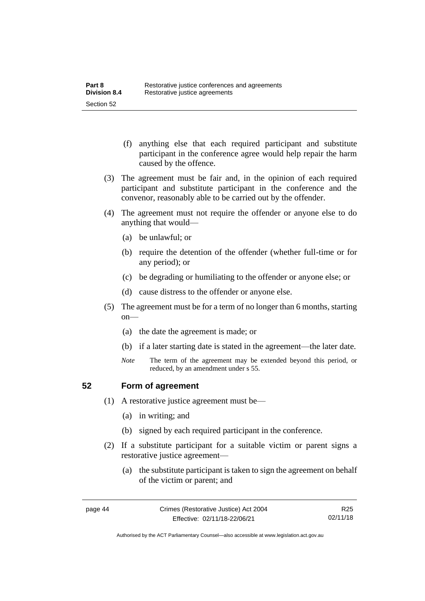- (f) anything else that each required participant and substitute participant in the conference agree would help repair the harm caused by the offence.
- (3) The agreement must be fair and, in the opinion of each required participant and substitute participant in the conference and the convenor, reasonably able to be carried out by the offender.
- (4) The agreement must not require the offender or anyone else to do anything that would—
	- (a) be unlawful; or
	- (b) require the detention of the offender (whether full-time or for any period); or
	- (c) be degrading or humiliating to the offender or anyone else; or
	- (d) cause distress to the offender or anyone else.
- (5) The agreement must be for a term of no longer than 6 months, starting on—
	- (a) the date the agreement is made; or
	- (b) if a later starting date is stated in the agreement—the later date.
	- *Note* The term of the agreement may be extended beyond this period, or reduced, by an amendment under s 55.

### **52 Form of agreement**

- (1) A restorative justice agreement must be—
	- (a) in writing; and
	- (b) signed by each required participant in the conference.
- (2) If a substitute participant for a suitable victim or parent signs a restorative justice agreement—
	- (a) the substitute participant is taken to sign the agreement on behalf of the victim or parent; and

Authorised by the ACT Parliamentary Counsel—also accessible at www.legislation.act.gov.au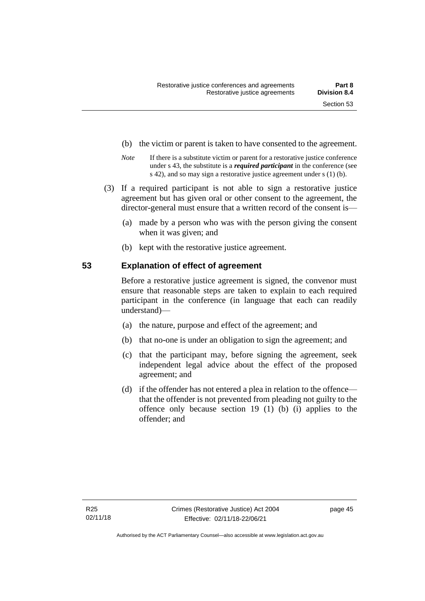- (b) the victim or parent is taken to have consented to the agreement.
- *Note* If there is a substitute victim or parent for a restorative justice conference under s 43, the substitute is a *required participant* in the conference (see s 42), and so may sign a restorative justice agreement under s (1) (b).
- (3) If a required participant is not able to sign a restorative justice agreement but has given oral or other consent to the agreement, the director-general must ensure that a written record of the consent is—
	- (a) made by a person who was with the person giving the consent when it was given; and
	- (b) kept with the restorative justice agreement.

### **53 Explanation of effect of agreement**

Before a restorative justice agreement is signed, the convenor must ensure that reasonable steps are taken to explain to each required participant in the conference (in language that each can readily understand)—

- (a) the nature, purpose and effect of the agreement; and
- (b) that no-one is under an obligation to sign the agreement; and
- (c) that the participant may, before signing the agreement, seek independent legal advice about the effect of the proposed agreement; and
- (d) if the offender has not entered a plea in relation to the offence that the offender is not prevented from pleading not guilty to the offence only because section 19 (1) (b) (i) applies to the offender; and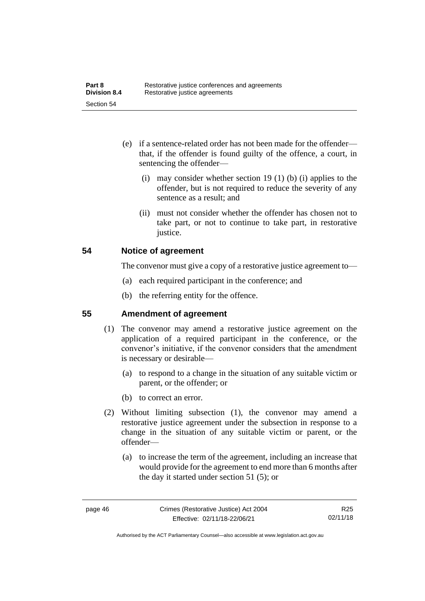- (e) if a sentence-related order has not been made for the offender that, if the offender is found guilty of the offence, a court, in sentencing the offender—
	- (i) may consider whether section 19 (1) (b) (i) applies to the offender, but is not required to reduce the severity of any sentence as a result; and
	- (ii) must not consider whether the offender has chosen not to take part, or not to continue to take part, in restorative justice.

### **54 Notice of agreement**

The convenor must give a copy of a restorative justice agreement to—

- (a) each required participant in the conference; and
- (b) the referring entity for the offence.

## **55 Amendment of agreement**

- (1) The convenor may amend a restorative justice agreement on the application of a required participant in the conference, or the convenor's initiative, if the convenor considers that the amendment is necessary or desirable—
	- (a) to respond to a change in the situation of any suitable victim or parent, or the offender; or
	- (b) to correct an error.
- (2) Without limiting subsection (1), the convenor may amend a restorative justice agreement under the subsection in response to a change in the situation of any suitable victim or parent, or the offender—
	- (a) to increase the term of the agreement, including an increase that would provide for the agreement to end more than 6 months after the day it started under section 51 (5); or

Authorised by the ACT Parliamentary Counsel—also accessible at www.legislation.act.gov.au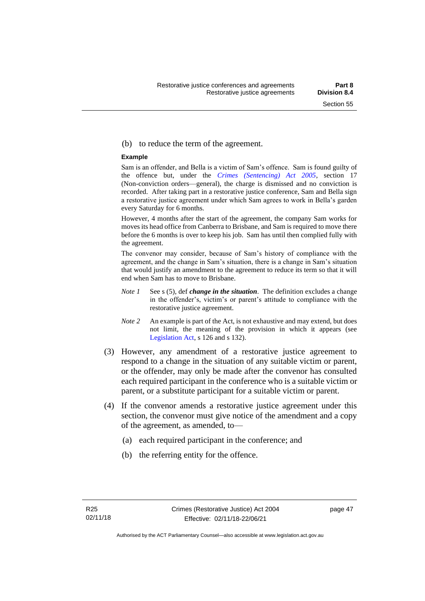#### (b) to reduce the term of the agreement.

#### **Example**

Sam is an offender, and Bella is a victim of Sam's offence. Sam is found guilty of the offence but, under the *[Crimes \(Sentencing\) Act 2005](http://www.legislation.act.gov.au/a/2005-58)*, section 17 (Non-conviction orders—general), the charge is dismissed and no conviction is recorded. After taking part in a restorative justice conference, Sam and Bella sign a restorative justice agreement under which Sam agrees to work in Bella's garden every Saturday for 6 months.

However, 4 months after the start of the agreement, the company Sam works for moves its head office from Canberra to Brisbane, and Sam is required to move there before the 6 months is over to keep his job. Sam has until then complied fully with the agreement.

The convenor may consider, because of Sam's history of compliance with the agreement, and the change in Sam's situation, there is a change in Sam's situation that would justify an amendment to the agreement to reduce its term so that it will end when Sam has to move to Brisbane.

- *Note 1* See s (5), def *change in the situation*. The definition excludes a change in the offender's, victim's or parent's attitude to compliance with the restorative justice agreement.
- *Note 2* An example is part of the Act, is not exhaustive and may extend, but does not limit, the meaning of the provision in which it appears (see [Legislation Act,](http://www.legislation.act.gov.au/a/2001-14) s 126 and s 132).
- (3) However, any amendment of a restorative justice agreement to respond to a change in the situation of any suitable victim or parent, or the offender, may only be made after the convenor has consulted each required participant in the conference who is a suitable victim or parent, or a substitute participant for a suitable victim or parent.
- (4) If the convenor amends a restorative justice agreement under this section, the convenor must give notice of the amendment and a copy of the agreement, as amended, to—
	- (a) each required participant in the conference; and
	- (b) the referring entity for the offence.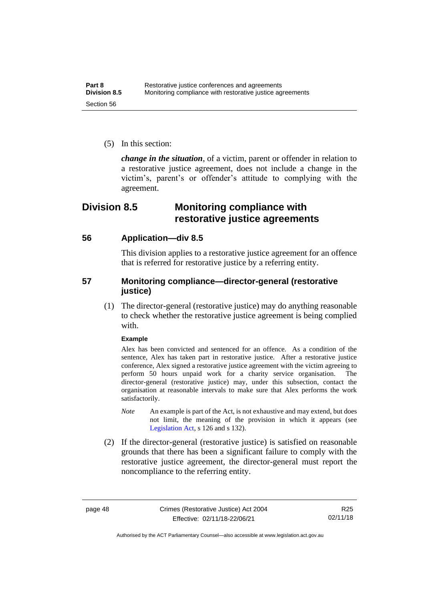(5) In this section:

*change in the situation*, of a victim, parent or offender in relation to a restorative justice agreement, does not include a change in the victim's, parent's or offender's attitude to complying with the agreement.

## **Division 8.5 Monitoring compliance with restorative justice agreements**

### **56 Application—div 8.5**

This division applies to a restorative justice agreement for an offence that is referred for restorative justice by a referring entity.

### **57 Monitoring compliance—director-general (restorative justice)**

(1) The director-general (restorative justice) may do anything reasonable to check whether the restorative justice agreement is being complied with.

#### **Example**

Alex has been convicted and sentenced for an offence. As a condition of the sentence, Alex has taken part in restorative justice. After a restorative justice conference, Alex signed a restorative justice agreement with the victim agreeing to perform 50 hours unpaid work for a charity service organisation. The director-general (restorative justice) may, under this subsection, contact the organisation at reasonable intervals to make sure that Alex performs the work satisfactorily.

- *Note* An example is part of the Act, is not exhaustive and may extend, but does not limit, the meaning of the provision in which it appears (see [Legislation Act,](http://www.legislation.act.gov.au/a/2001-14) s 126 and s 132).
- (2) If the director-general (restorative justice) is satisfied on reasonable grounds that there has been a significant failure to comply with the restorative justice agreement, the director-general must report the noncompliance to the referring entity.

page 48 Crimes (Restorative Justice) Act 2004 Effective: 02/11/18-22/06/21

R25 02/11/18

Authorised by the ACT Parliamentary Counsel—also accessible at www.legislation.act.gov.au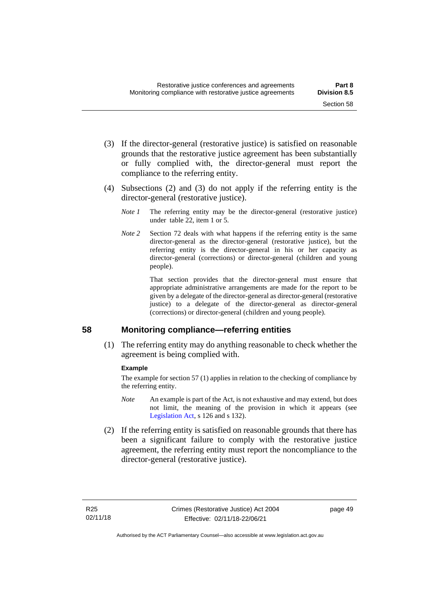- (3) If the director-general (restorative justice) is satisfied on reasonable grounds that the restorative justice agreement has been substantially or fully complied with, the director-general must report the compliance to the referring entity.
- (4) Subsections (2) and (3) do not apply if the referring entity is the director-general (restorative justice).
	- *Note 1* The referring entity may be the director-general (restorative justice) under table 22, item 1 or 5.
	- *Note 2* Section 72 deals with what happens if the referring entity is the same director-general as the director-general (restorative justice), but the referring entity is the director-general in his or her capacity as director-general (corrections) or director-general (children and young people).

That section provides that the director-general must ensure that appropriate administrative arrangements are made for the report to be given by a delegate of the director-general as director-general (restorative justice) to a delegate of the director-general as director-general (corrections) or director-general (children and young people).

## **58 Monitoring compliance—referring entities**

(1) The referring entity may do anything reasonable to check whether the agreement is being complied with.

### **Example**

The example for section 57 (1) applies in relation to the checking of compliance by the referring entity.

- *Note* An example is part of the Act, is not exhaustive and may extend, but does not limit, the meaning of the provision in which it appears (see [Legislation Act,](http://www.legislation.act.gov.au/a/2001-14) s 126 and s 132).
- (2) If the referring entity is satisfied on reasonable grounds that there has been a significant failure to comply with the restorative justice agreement, the referring entity must report the noncompliance to the director-general (restorative justice).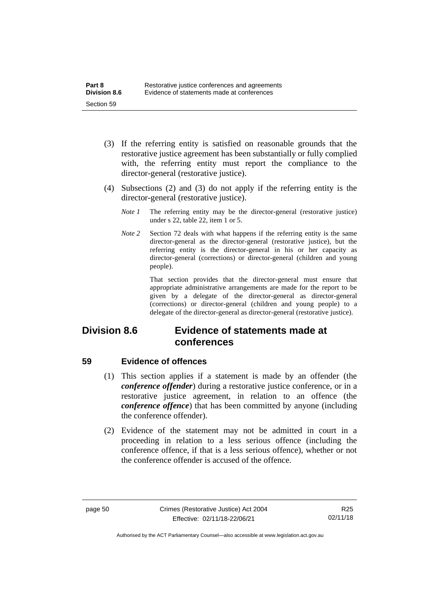- (3) If the referring entity is satisfied on reasonable grounds that the restorative justice agreement has been substantially or fully complied with, the referring entity must report the compliance to the director-general (restorative justice).
- (4) Subsections (2) and (3) do not apply if the referring entity is the director-general (restorative justice).
	- *Note 1* The referring entity may be the director-general (restorative justice) under s 22, table 22, item 1 or 5.
	- *Note 2* Section 72 deals with what happens if the referring entity is the same director-general as the director-general (restorative justice), but the referring entity is the director-general in his or her capacity as director-general (corrections) or director-general (children and young people).

That section provides that the director-general must ensure that appropriate administrative arrangements are made for the report to be given by a delegate of the director-general as director-general (corrections) or director-general (children and young people) to a delegate of the director-general as director-general (restorative justice).

## **Division 8.6 Evidence of statements made at conferences**

### **59 Evidence of offences**

- (1) This section applies if a statement is made by an offender (the *conference offender*) during a restorative justice conference, or in a restorative justice agreement, in relation to an offence (the *conference offence*) that has been committed by anyone (including the conference offender).
- (2) Evidence of the statement may not be admitted in court in a proceeding in relation to a less serious offence (including the conference offence, if that is a less serious offence), whether or not the conference offender is accused of the offence.

R25 02/11/18

Authorised by the ACT Parliamentary Counsel—also accessible at www.legislation.act.gov.au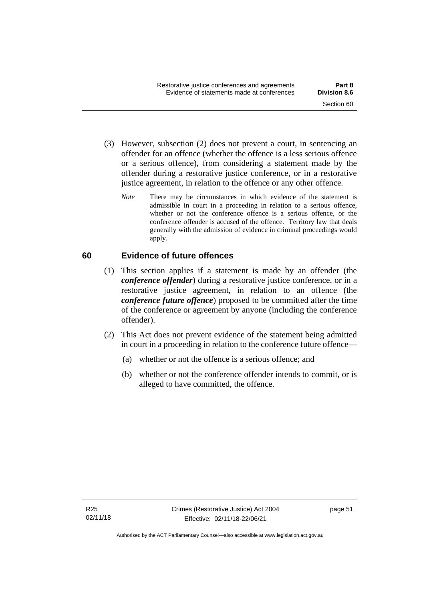- (3) However, subsection (2) does not prevent a court, in sentencing an offender for an offence (whether the offence is a less serious offence or a serious offence), from considering a statement made by the offender during a restorative justice conference, or in a restorative justice agreement, in relation to the offence or any other offence.
	- *Note* There may be circumstances in which evidence of the statement is admissible in court in a proceeding in relation to a serious offence, whether or not the conference offence is a serious offence, or the conference offender is accused of the offence. Territory law that deals generally with the admission of evidence in criminal proceedings would apply.

## **60 Evidence of future offences**

- (1) This section applies if a statement is made by an offender (the *conference offender*) during a restorative justice conference, or in a restorative justice agreement, in relation to an offence (the *conference future offence*) proposed to be committed after the time of the conference or agreement by anyone (including the conference offender).
- (2) This Act does not prevent evidence of the statement being admitted in court in a proceeding in relation to the conference future offence—
	- (a) whether or not the offence is a serious offence; and
	- (b) whether or not the conference offender intends to commit, or is alleged to have committed, the offence.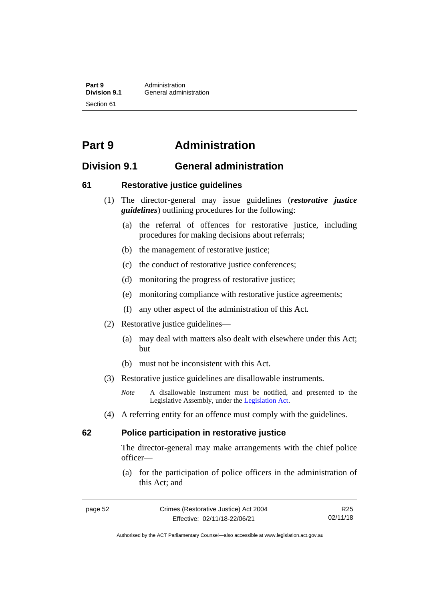**Part 9 Administration**<br> **Division 9.1 General adminition Division 9.1** General administration Section 61

# **Part 9 Administration**

## **Division 9.1 General administration**

### **61 Restorative justice guidelines**

- (1) The director-general may issue guidelines (*restorative justice guidelines*) outlining procedures for the following:
	- (a) the referral of offences for restorative justice, including procedures for making decisions about referrals;
	- (b) the management of restorative justice;
	- (c) the conduct of restorative justice conferences;
	- (d) monitoring the progress of restorative justice;
	- (e) monitoring compliance with restorative justice agreements;
	- (f) any other aspect of the administration of this Act.
- (2) Restorative justice guidelines—
	- (a) may deal with matters also dealt with elsewhere under this Act; but
	- (b) must not be inconsistent with this Act.
- (3) Restorative justice guidelines are disallowable instruments.

*Note* A disallowable instrument must be notified, and presented to the Legislative Assembly, under the [Legislation Act.](http://www.legislation.act.gov.au/a/2001-14)

(4) A referring entity for an offence must comply with the guidelines.

### **62 Police participation in restorative justice**

The director-general may make arrangements with the chief police officer—

(a) for the participation of police officers in the administration of this Act; and

Authorised by the ACT Parliamentary Counsel—also accessible at www.legislation.act.gov.au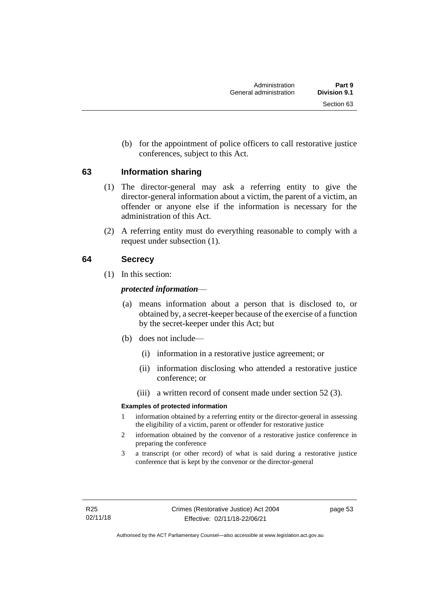(b) for the appointment of police officers to call restorative justice conferences, subject to this Act.

## **63 Information sharing**

- (1) The director-general may ask a referring entity to give the director-general information about a victim, the parent of a victim, an offender or anyone else if the information is necessary for the administration of this Act.
- (2) A referring entity must do everything reasonable to comply with a request under subsection (1).

## **64 Secrecy**

(1) In this section:

## *protected information*—

- (a) means information about a person that is disclosed to, or obtained by, a secret-keeper because of the exercise of a function by the secret-keeper under this Act; but
- (b) does not include—
	- (i) information in a restorative justice agreement; or
	- (ii) information disclosing who attended a restorative justice conference; or
	- (iii) a written record of consent made under section 52 (3).

### **Examples of protected information**

- 1 information obtained by a referring entity or the director-general in assessing the eligibility of a victim, parent or offender for restorative justice
- 2 information obtained by the convenor of a restorative justice conference in preparing the conference
- 3 a transcript (or other record) of what is said during a restorative justice conference that is kept by the convenor or the director-general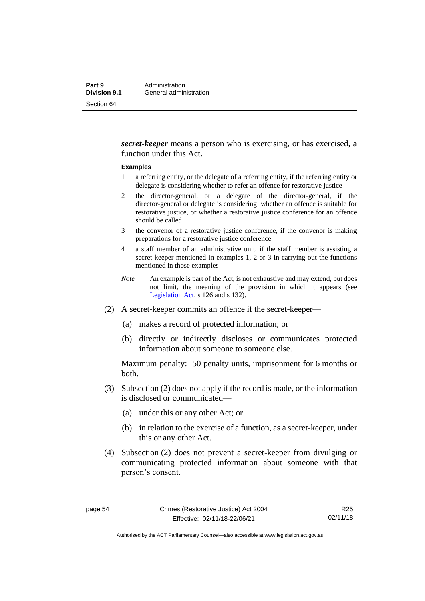*secret-keeper* means a person who is exercising, or has exercised, a function under this Act.

#### **Examples**

- 1 a referring entity, or the delegate of a referring entity, if the referring entity or delegate is considering whether to refer an offence for restorative justice
- 2 the director-general, or a delegate of the director-general, if the director-general or delegate is considering whether an offence is suitable for restorative justice, or whether a restorative justice conference for an offence should be called
- 3 the convenor of a restorative justice conference, if the convenor is making preparations for a restorative justice conference
- 4 a staff member of an administrative unit, if the staff member is assisting a secret-keeper mentioned in examples 1, 2 or 3 in carrying out the functions mentioned in those examples
- *Note* An example is part of the Act, is not exhaustive and may extend, but does not limit, the meaning of the provision in which it appears (see [Legislation Act,](http://www.legislation.act.gov.au/a/2001-14) s 126 and s 132).
- (2) A secret-keeper commits an offence if the secret-keeper—
	- (a) makes a record of protected information; or
	- (b) directly or indirectly discloses or communicates protected information about someone to someone else.

Maximum penalty: 50 penalty units, imprisonment for 6 months or both.

- (3) Subsection (2) does not apply if the record is made, or the information is disclosed or communicated—
	- (a) under this or any other Act; or
	- (b) in relation to the exercise of a function, as a secret-keeper, under this or any other Act.
- (4) Subsection (2) does not prevent a secret-keeper from divulging or communicating protected information about someone with that person's consent.

R25 02/11/18

Authorised by the ACT Parliamentary Counsel—also accessible at www.legislation.act.gov.au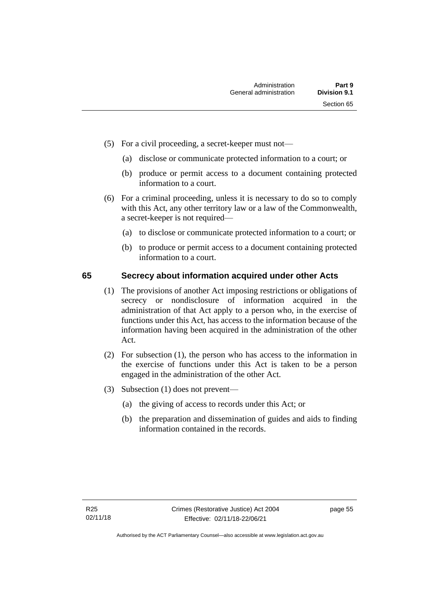- (5) For a civil proceeding, a secret-keeper must not—
	- (a) disclose or communicate protected information to a court; or
	- (b) produce or permit access to a document containing protected information to a court.
- (6) For a criminal proceeding, unless it is necessary to do so to comply with this Act, any other territory law or a law of the Commonwealth, a secret-keeper is not required—
	- (a) to disclose or communicate protected information to a court; or
	- (b) to produce or permit access to a document containing protected information to a court.

### **65 Secrecy about information acquired under other Acts**

- (1) The provisions of another Act imposing restrictions or obligations of secrecy or nondisclosure of information acquired in the administration of that Act apply to a person who, in the exercise of functions under this Act, has access to the information because of the information having been acquired in the administration of the other Act.
- (2) For subsection (1), the person who has access to the information in the exercise of functions under this Act is taken to be a person engaged in the administration of the other Act.
- (3) Subsection (1) does not prevent—
	- (a) the giving of access to records under this Act; or
	- (b) the preparation and dissemination of guides and aids to finding information contained in the records.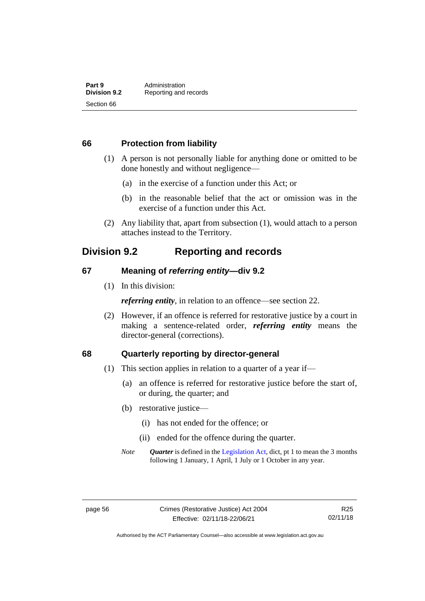### **66 Protection from liability**

- (1) A person is not personally liable for anything done or omitted to be done honestly and without negligence—
	- (a) in the exercise of a function under this Act; or
	- (b) in the reasonable belief that the act or omission was in the exercise of a function under this Act.
- (2) Any liability that, apart from subsection (1), would attach to a person attaches instead to the Territory.

## **Division 9.2 Reporting and records**

### **67 Meaning of** *referring entity—***div 9.2**

(1) In this division:

*referring entity*, in relation to an offence—see section 22.

(2) However, if an offence is referred for restorative justice by a court in making a sentence-related order, *referring entity* means the director-general (corrections).

### **68 Quarterly reporting by director-general**

- (1) This section applies in relation to a quarter of a year if—
	- (a) an offence is referred for restorative justice before the start of, or during, the quarter; and
	- (b) restorative justice—
		- (i) has not ended for the offence; or
		- (ii) ended for the offence during the quarter.
	- *Note Quarter* is defined in the [Legislation Act,](http://www.legislation.act.gov.au/a/2001-14) dict, pt 1 to mean the 3 months following 1 January, 1 April, 1 July or 1 October in any year.

Authorised by the ACT Parliamentary Counsel—also accessible at www.legislation.act.gov.au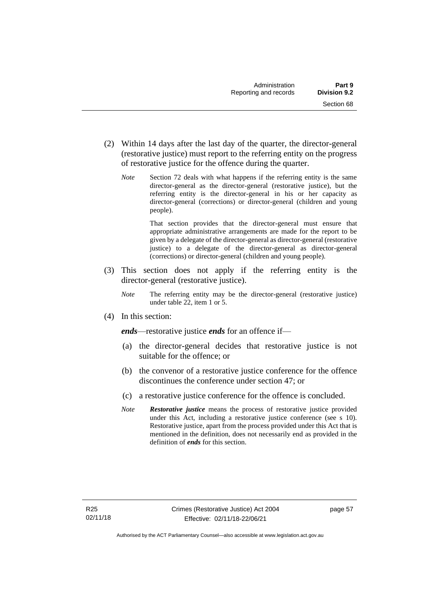- (2) Within 14 days after the last day of the quarter, the director-general (restorative justice) must report to the referring entity on the progress of restorative justice for the offence during the quarter.
	- *Note* Section 72 deals with what happens if the referring entity is the same director-general as the director-general (restorative justice), but the referring entity is the director-general in his or her capacity as director-general (corrections) or director-general (children and young people).

That section provides that the director-general must ensure that appropriate administrative arrangements are made for the report to be given by a delegate of the director-general as director-general (restorative justice) to a delegate of the director-general as director-general (corrections) or director-general (children and young people).

- (3) This section does not apply if the referring entity is the director-general (restorative justice).
	- *Note* The referring entity may be the director-general (restorative justice) under table 22, item 1 or 5.
- (4) In this section:

*ends*—restorative justice *ends* for an offence if—

- (a) the director-general decides that restorative justice is not suitable for the offence; or
- (b) the convenor of a restorative justice conference for the offence discontinues the conference under section 47; or
- (c) a restorative justice conference for the offence is concluded.
- *Note Restorative justice* means the process of restorative justice provided under this Act, including a restorative justice conference (see s 10). Restorative justice, apart from the process provided under this Act that is mentioned in the definition, does not necessarily end as provided in the definition of *ends* for this section.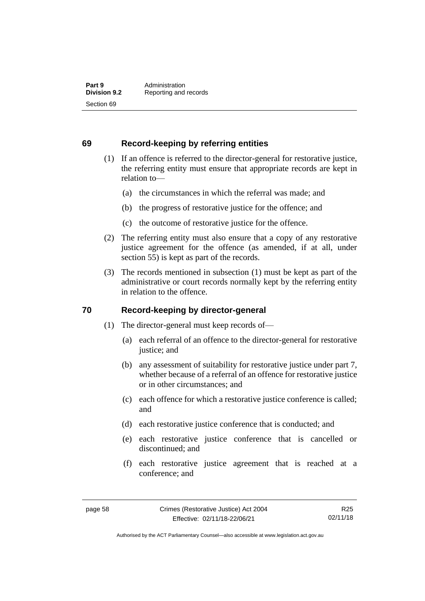### **69 Record-keeping by referring entities**

- (1) If an offence is referred to the director-general for restorative justice, the referring entity must ensure that appropriate records are kept in relation to—
	- (a) the circumstances in which the referral was made; and
	- (b) the progress of restorative justice for the offence; and
	- (c) the outcome of restorative justice for the offence.
- (2) The referring entity must also ensure that a copy of any restorative justice agreement for the offence (as amended, if at all, under section 55) is kept as part of the records.
- (3) The records mentioned in subsection (1) must be kept as part of the administrative or court records normally kept by the referring entity in relation to the offence.

### **70 Record-keeping by director-general**

- (1) The director-general must keep records of—
	- (a) each referral of an offence to the director-general for restorative justice; and
	- (b) any assessment of suitability for restorative justice under part 7, whether because of a referral of an offence for restorative justice or in other circumstances; and
	- (c) each offence for which a restorative justice conference is called; and
	- (d) each restorative justice conference that is conducted; and
	- (e) each restorative justice conference that is cancelled or discontinued; and
	- (f) each restorative justice agreement that is reached at a conference; and

R25 02/11/18

Authorised by the ACT Parliamentary Counsel—also accessible at www.legislation.act.gov.au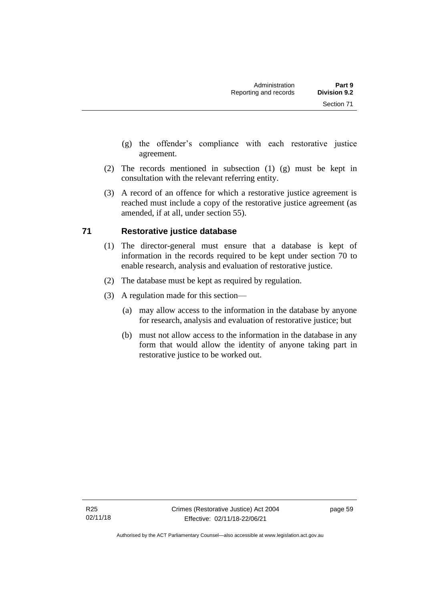- (g) the offender's compliance with each restorative justice agreement.
- (2) The records mentioned in subsection (1) (g) must be kept in consultation with the relevant referring entity.
- (3) A record of an offence for which a restorative justice agreement is reached must include a copy of the restorative justice agreement (as amended, if at all, under section 55).

### **71 Restorative justice database**

- (1) The director-general must ensure that a database is kept of information in the records required to be kept under section 70 to enable research, analysis and evaluation of restorative justice.
- (2) The database must be kept as required by regulation.
- (3) A regulation made for this section—
	- (a) may allow access to the information in the database by anyone for research, analysis and evaluation of restorative justice; but
	- (b) must not allow access to the information in the database in any form that would allow the identity of anyone taking part in restorative justice to be worked out.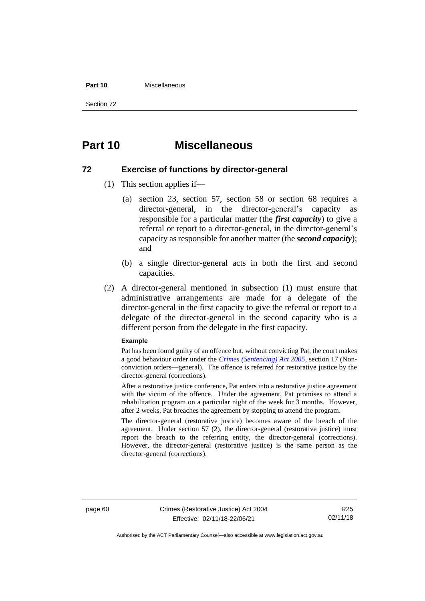#### **Part 10** Miscellaneous

Section 72

## **Part 10 Miscellaneous**

### **72 Exercise of functions by director-general**

- (1) This section applies if—
	- (a) section 23, section 57, section 58 or section 68 requires a director-general, in the director-general's capacity as responsible for a particular matter (the *first capacity*) to give a referral or report to a director-general, in the director-general's capacity as responsible for another matter (the *second capacity*); and
	- (b) a single director-general acts in both the first and second capacities.
- (2) A director-general mentioned in subsection (1) must ensure that administrative arrangements are made for a delegate of the director-general in the first capacity to give the referral or report to a delegate of the director-general in the second capacity who is a different person from the delegate in the first capacity.

#### **Example**

Pat has been found guilty of an offence but, without convicting Pat, the court makes a good behaviour order under the *[Crimes \(Sentencing\) Act 2005](http://www.legislation.act.gov.au/a/2005-58)*, section 17 (Nonconviction orders—general). The offence is referred for restorative justice by the director-general (corrections).

After a restorative justice conference, Pat enters into a restorative justice agreement with the victim of the offence. Under the agreement, Pat promises to attend a rehabilitation program on a particular night of the week for 3 months. However, after 2 weeks, Pat breaches the agreement by stopping to attend the program.

The director-general (restorative justice) becomes aware of the breach of the agreement. Under section 57 (2), the director-general (restorative justice) must report the breach to the referring entity, the director-general (corrections). However, the director-general (restorative justice) is the same person as the director-general (corrections).

page 60 Crimes (Restorative Justice) Act 2004 Effective: 02/11/18-22/06/21

R25 02/11/18

Authorised by the ACT Parliamentary Counsel—also accessible at www.legislation.act.gov.au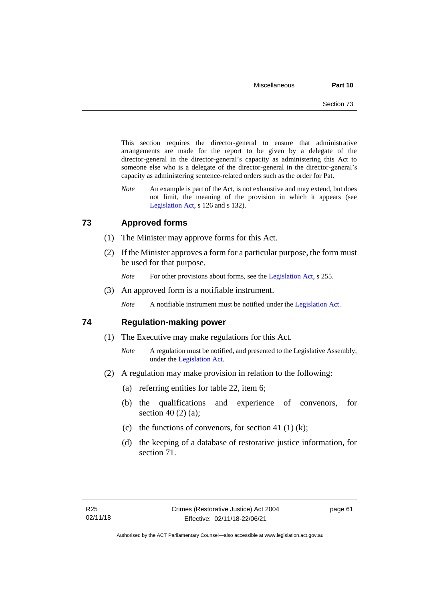This section requires the director-general to ensure that administrative arrangements are made for the report to be given by a delegate of the director-general in the director-general's capacity as administering this Act to someone else who is a delegate of the director-general in the director-general's capacity as administering sentence-related orders such as the order for Pat.

*Note* An example is part of the Act, is not exhaustive and may extend, but does not limit, the meaning of the provision in which it appears (see [Legislation Act,](http://www.legislation.act.gov.au/a/2001-14) s 126 and s 132).

### **73 Approved forms**

- (1) The Minister may approve forms for this Act.
- (2) If the Minister approves a form for a particular purpose, the form must be used for that purpose.

*Note* For other provisions about forms, see the [Legislation Act,](http://www.legislation.act.gov.au/a/2001-14) s 255.

(3) An approved form is a notifiable instrument.

*Note* A notifiable instrument must be notified under the [Legislation Act.](http://www.legislation.act.gov.au/a/2001-14)

### **74 Regulation-making power**

- (1) The Executive may make regulations for this Act.
	- *Note* A regulation must be notified, and presented to the Legislative Assembly, under the [Legislation Act.](http://www.legislation.act.gov.au/a/2001-14)
- (2) A regulation may make provision in relation to the following:
	- (a) referring entities for table 22, item 6;
	- (b) the qualifications and experience of convenors, for section 40 $(2)$  $(a)$ ;
	- (c) the functions of convenors, for section 41 (1) (k);
	- (d) the keeping of a database of restorative justice information, for section 71.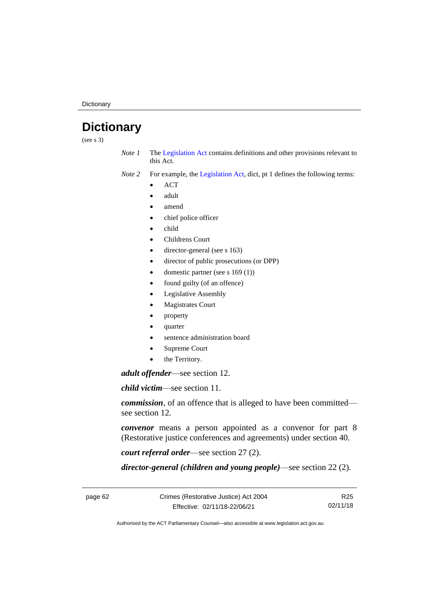**Dictionary** 

# **Dictionary**

(see s 3)

*Note 1* The [Legislation Act](http://www.legislation.act.gov.au/a/2001-14) contains definitions and other provisions relevant to this Act.

*Note 2* For example, the [Legislation Act,](http://www.legislation.act.gov.au/a/2001-14) dict, pt 1 defines the following terms:

- ACT
- adult
- amend
- chief police officer
- child
- Childrens Court
- director-general (see s 163)
- director of public prosecutions (or DPP)
- domestic partner (see s  $169(1)$ )
- found guilty (of an offence)
- Legislative Assembly
- Magistrates Court
- property
- quarter
- sentence administration board
- Supreme Court
- the Territory.

*adult offender*—see section 12.

*child victim*—see section 11.

*commission*, of an offence that is alleged to have been committed see section 12.

*convenor* means a person appointed as a convenor for part 8 (Restorative justice conferences and agreements) under section 40.

*court referral order*—see section 27 (2).

*director-general (children and young people)*—see section 22 (2).

R25 02/11/18

Authorised by the ACT Parliamentary Counsel—also accessible at www.legislation.act.gov.au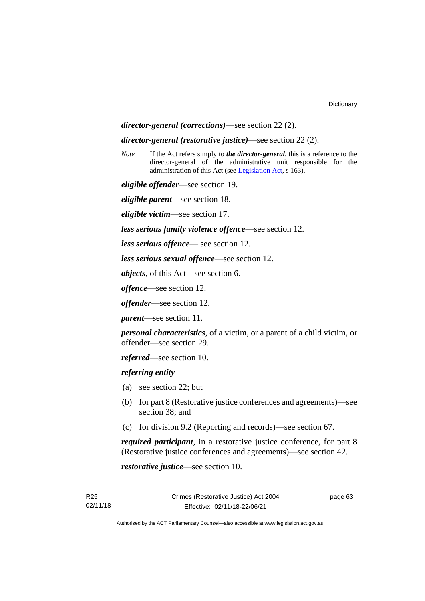```
director-general (corrections)—see section 22 (2).
```
#### *director-general (restorative justice)*—see section 22 (2).

*Note* If the Act refers simply to *the director-general*, this is a reference to the director-general of the administrative unit responsible for the administration of this Act (see [Legislation Act,](http://www.legislation.act.gov.au/a/2001-14) s 163).

*eligible offender*—see section 19.

*eligible parent*—see section 18.

*eligible victim*—see section 17.

*less serious family violence offence*—see section 12.

*less serious offence*— see section 12.

*less serious sexual offence*—see section 12.

*objects*, of this Act—see section 6.

*offence*—see section 12.

*offender*—see section 12.

*parent*—see section 11.

*personal characteristics*, of a victim, or a parent of a child victim, or offender—see section 29.

*referred*—see section 10.

*referring entity*—

- (a) see section 22; but
- (b) for part 8 (Restorative justice conferences and agreements)—see section 38; and
- (c) for division 9.2 (Reporting and records)—see section 67.

*required participant*, in a restorative justice conference, for part 8 (Restorative justice conferences and agreements)—see section 42.

*restorative justice*—see section 10.

page 63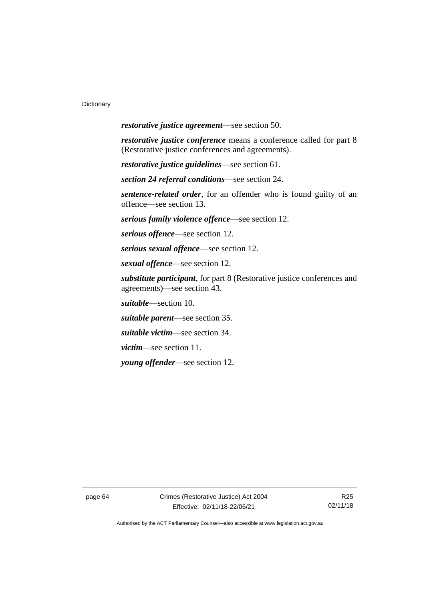*restorative justice agreement*—see section 50.

*restorative justice conference* means a conference called for part 8 (Restorative justice conferences and agreements).

*restorative justice guidelines*—see section 61.

*section 24 referral conditions*—see section 24.

*sentence-related order*, for an offender who is found guilty of an offence—see section 13.

*serious family violence offence*—see section 12.

*serious offence*—see section 12.

*serious sexual offence*—see section 12.

*sexual offence*—see section 12.

*substitute participant*, for part 8 (Restorative justice conferences and agreements)—see section 43.

*suitable*—section 10.

*suitable parent*—see section 35.

*suitable victim*—see section 34.

*victim*—see section 11.

*young offender*—see section 12.

page 64 Crimes (Restorative Justice) Act 2004 Effective: 02/11/18-22/06/21

R25 02/11/18

Authorised by the ACT Parliamentary Counsel—also accessible at www.legislation.act.gov.au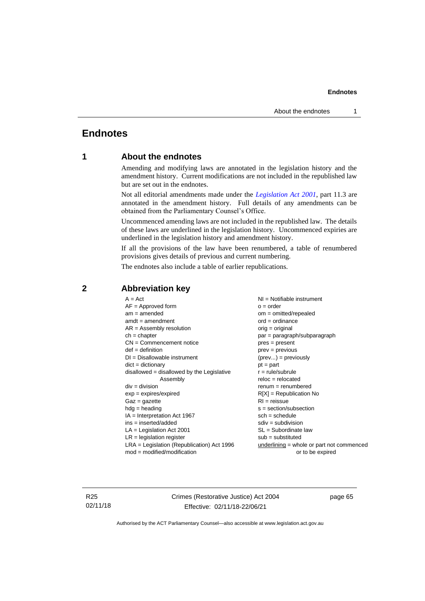# **Endnotes**

# **1 About the endnotes**

Amending and modifying laws are annotated in the legislation history and the amendment history. Current modifications are not included in the republished law but are set out in the endnotes.

Not all editorial amendments made under the *[Legislation Act 2001](http://www.legislation.act.gov.au/a/2001-14)*, part 11.3 are annotated in the amendment history. Full details of any amendments can be obtained from the Parliamentary Counsel's Office.

Uncommenced amending laws are not included in the republished law. The details of these laws are underlined in the legislation history. Uncommenced expiries are underlined in the legislation history and amendment history.

If all the provisions of the law have been renumbered, a table of renumbered provisions gives details of previous and current numbering.

The endnotes also include a table of earlier republications.

| $A = Act$                                    | $NI = Notifiable$ instrument                |
|----------------------------------------------|---------------------------------------------|
| $AF =$ Approved form                         | $o = order$                                 |
| $am = amended$                               | $om = omitted/repealed$                     |
| $amdt = amendment$                           | $ord = ordinance$                           |
| $AR = Assembly resolution$                   | $orig = original$                           |
| $ch = chapter$                               | par = paragraph/subparagraph                |
| $CN =$ Commencement notice                   | pres = present                              |
| $def = definition$                           | prev = previous                             |
| $DI = Disallowable instrument$               | $(\text{prev}) = \text{previously}$         |
| $dict = dictionary$                          | $pt = part$                                 |
| $disallowed = disallowed by the Legislative$ | $r = rule/subrule$                          |
| Assembly                                     | $reloc = relocated$                         |
| $div = division$                             | $renum = renumbered$                        |
| $exp = expires/expired$                      | $R[X]$ = Republication No                   |
| $Gaz = gazette$                              | $RI =$ reissue                              |
| $hdg =$ heading                              | $s = section/subsection$                    |
| $IA = Interpretation Act 1967$               | $sch = schedule$                            |
| ins = inserted/added                         | $sdiv = subdivision$                        |
| $LA =$ Legislation Act 2001                  | $SL = Subordinate$ law                      |
| $LR =$ legislation register                  | $sub =$ substituted                         |
| $LRA =$ Legislation (Republication) Act 1996 | $underlining = whole or part not commenced$ |
| $mod = modified/modification$                | or to be expired                            |
|                                              |                                             |

# **2 Abbreviation key**

R25 02/11/18 Crimes (Restorative Justice) Act 2004 Effective: 02/11/18-22/06/21

page 65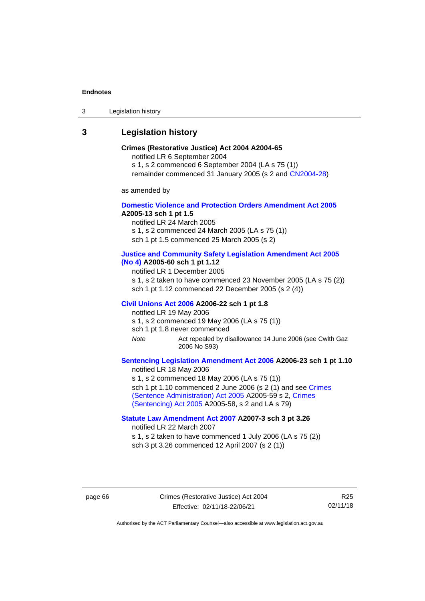3 Legislation history

# **3 Legislation history**

# **Crimes (Restorative Justice) Act 2004 A2004-65**

notified LR 6 September 2004

s 1, s 2 commenced 6 September 2004 (LA s 75 (1))

remainder commenced 31 January 2005 (s 2 and [CN2004-28\)](http://www.legislation.act.gov.au/cn/2004-28/default.asp)

as amended by

## **[Domestic Violence and Protection Orders Amendment Act 2005](http://www.legislation.act.gov.au/a/2005-13) A2005-13 sch 1 pt 1.5**

notified LR 24 March 2005

s 1, s 2 commenced 24 March 2005 (LA s 75 (1))

sch 1 pt 1.5 commenced 25 March 2005 (s 2)

#### **[Justice and Community Safety Legislation Amendment Act 2005](http://www.legislation.act.gov.au/a/2005-60)  [\(No](http://www.legislation.act.gov.au/a/2005-60) 4) A2005-60 sch 1 pt 1.12**

notified LR 1 December 2005

s 1, s 2 taken to have commenced 23 November 2005 (LA s 75 (2)) sch 1 pt 1.12 commenced 22 December 2005 (s 2 (4))

#### **[Civil Unions Act 2006](http://www.legislation.act.gov.au/a/2006-22) A2006-22 sch 1 pt 1.8**

notified LR 19 May 2006

s 1, s 2 commenced 19 May 2006 (LA s 75 (1))

sch 1 pt 1.8 never commenced

*Note* Act repealed by disallowance 14 June 2006 (see Cwlth Gaz 2006 No S93)

## **[Sentencing Legislation Amendment Act 2006](http://www.legislation.act.gov.au/a/2006-23) A2006-23 sch 1 pt 1.10** notified LR 18 May 2006

s 1, s 2 commenced 18 May 2006 (LA s 75 (1)) sch 1 pt 1.10 commenced 2 June 2006 (s 2 (1) and see Crimes [\(Sentence Administration\) Act 2005](http://www.legislation.act.gov.au/a/2005-59) A2005-59 s 2, [Crimes](http://www.legislation.act.gov.au/a/2005-58)  [\(Sentencing\) Act 2005](http://www.legislation.act.gov.au/a/2005-58) A2005-58, s 2 and LA s 79)

# **[Statute Law Amendment Act 2007](http://www.legislation.act.gov.au/a/2007-3) A2007-3 sch 3 pt 3.26**

notified LR 22 March 2007

s 1, s 2 taken to have commenced 1 July 2006 (LA s 75 (2)) sch 3 pt 3.26 commenced 12 April 2007 (s 2 (1))

page 66 Crimes (Restorative Justice) Act 2004 Effective: 02/11/18-22/06/21

R25 02/11/18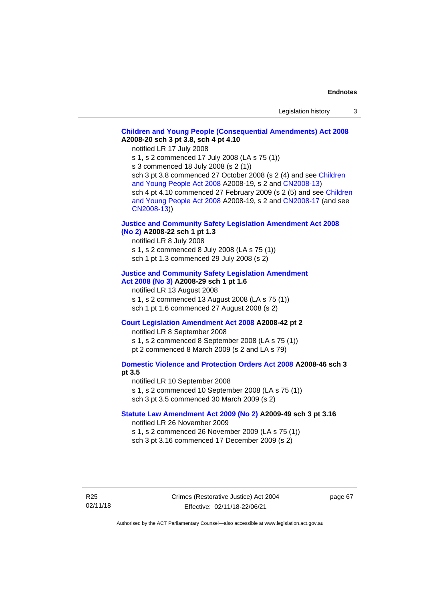# **[Children and Young People \(Consequential Amendments\) Act 2008](http://www.legislation.act.gov.au/a/2008-20) A2008-20 sch 3 pt 3.8, sch 4 pt 4.10**

notified LR 17 July 2008

s 1, s 2 commenced 17 July 2008 (LA s 75 (1))

s 3 commenced 18 July 2008 (s 2 (1))

sch 3 pt 3.8 commenced 27 October 2008 (s 2 (4) and see Children [and Young People Act 2008](http://www.legislation.act.gov.au/a/2008-19) A2008-19, s 2 and [CN2008-13\)](http://www.legislation.act.gov.au/cn/2008-13/default.asp) sch 4 pt 4.10 commenced 27 February 2009 (s 2 (5) and see [Children](http://www.legislation.act.gov.au/a/2008-19)  [and Young People Act 2008](http://www.legislation.act.gov.au/a/2008-19) A2008-19, s 2 and [CN2008-17 \(](http://www.legislation.act.gov.au/cn/2008-17/default.asp)and see [CN2008-13\)](http://www.legislation.act.gov.au/cn/2008-13/default.asp))

## **[Justice and Community Safety Legislation Amendment Act 2008](http://www.legislation.act.gov.au/a/2008-22)  [\(No](http://www.legislation.act.gov.au/a/2008-22) 2) A2008-22 sch 1 pt 1.3**

notified LR 8 July 2008 s 1, s 2 commenced 8 July 2008 (LA s 75 (1))

sch 1 pt 1.3 commenced 29 July 2008 (s 2)

# **[Justice and Community Safety Legislation Amendment](http://www.legislation.act.gov.au/a/2008-29)**

# **Act [2008](http://www.legislation.act.gov.au/a/2008-29) (No 3) A2008-29 sch 1 pt 1.6**

notified LR 13 August 2008 s 1, s 2 commenced 13 August 2008 (LA s 75 (1)) sch 1 pt 1.6 commenced 27 August 2008 (s 2)

# **[Court Legislation Amendment Act 2008](http://www.legislation.act.gov.au/a/2008-42) A2008-42 pt 2**

notified LR 8 September 2008 s 1, s 2 commenced 8 September 2008 (LA s 75 (1)) pt 2 commenced 8 March 2009 (s 2 and LA s 79)

# **[Domestic Violence and Protection Orders Act 2008](http://www.legislation.act.gov.au/a/2008-46) A2008-46 sch 3 pt 3.5**

notified LR 10 September 2008 s 1, s 2 commenced 10 September 2008 (LA s 75 (1)) sch 3 pt 3.5 commenced 30 March 2009 (s 2)

## **[Statute Law Amendment Act 2009 \(No 2\)](http://www.legislation.act.gov.au/a/2009-49) A2009-49 sch 3 pt 3.16**

notified LR 26 November 2009

s 1, s 2 commenced 26 November 2009 (LA s 75 (1))

sch 3 pt 3.16 commenced 17 December 2009 (s 2)

page 67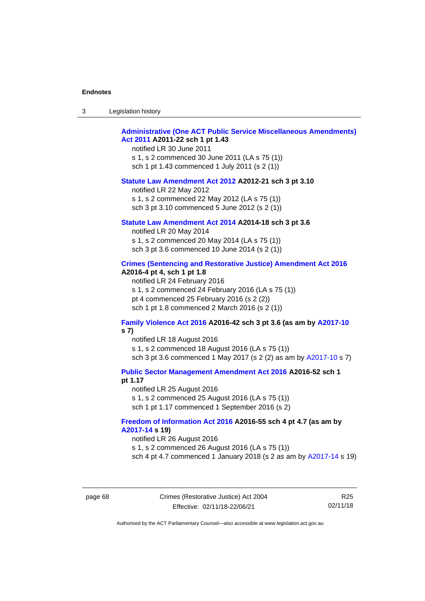| Legislation history<br>-3 |  |
|---------------------------|--|
|---------------------------|--|

# **[Administrative \(One ACT Public Service Miscellaneous Amendments\)](http://www.legislation.act.gov.au/a/2011-22)  Act [2011](http://www.legislation.act.gov.au/a/2011-22) A2011-22 sch 1 pt 1.43**

notified LR 30 June 2011 s 1, s 2 commenced 30 June 2011 (LA s 75 (1)) sch 1 pt 1.43 commenced 1 July 2011 (s 2 (1))

#### **[Statute Law Amendment Act 2012](http://www.legislation.act.gov.au/a/2012-21) A2012-21 sch 3 pt 3.10**

notified LR 22 May 2012 s 1, s 2 commenced 22 May 2012 (LA s 75 (1)) sch 3 pt 3.10 commenced 5 June 2012 (s 2 (1))

## **[Statute Law Amendment Act 2014](http://www.legislation.act.gov.au/a/2014-18) A2014-18 sch 3 pt 3.6**

notified LR 20 May 2014 s 1, s 2 commenced 20 May 2014 (LA s 75 (1)) sch 3 pt 3.6 commenced 10 June 2014 (s 2 (1))

#### **[Crimes \(Sentencing and Restorative Justice\) Amendment Act 2016](http://www.legislation.act.gov.au/a/2016-4/default.asp) A2016-4 pt 4, sch 1 pt 1.8**

notified LR 24 February 2016 s 1, s 2 commenced 24 February 2016 (LA s 75 (1)) pt 4 commenced 25 February 2016 (s 2 (2)) sch 1 pt 1.8 commenced 2 March 2016 (s 2 (1))

### **[Family Violence Act 2016](http://www.legislation.act.gov.au/a/2016-42/default.asp) A2016-42 sch 3 pt 3.6 (as am by [A2017-10](http://www.legislation.act.gov.au/a/2017-10/default.asp) s 7)**

notified LR 18 August 2016 s 1, s 2 commenced 18 August 2016 (LA s 75 (1)) sch 3 pt 3.6 commenced 1 May 2017 (s 2 (2) as am by [A2017-10](http://www.legislation.act.gov.au/a/2017-10/default.asp) s 7)

**[Public Sector Management Amendment Act 2016](http://www.legislation.act.gov.au/a/2016-52/default.asp) A2016-52 sch 1** 

#### **pt 1.17**

notified LR 25 August 2016 s 1, s 2 commenced 25 August 2016 (LA s 75 (1)) sch 1 pt 1.17 commenced 1 September 2016 (s 2)

#### **[Freedom of Information Act 2016](http://www.legislation.act.gov.au/a/2016-55/default.asp) A2016-55 sch 4 pt 4.7 (as am by [A2017-14](http://www.legislation.act.gov.au/a/2017-14) s 19)**

notified LR 26 August 2016

s 1, s 2 commenced 26 August 2016 (LA s 75 (1))

sch 4 pt 4.7 commenced 1 January 2018 (s 2 as am by [A2017-14](http://www.legislation.act.gov.au/a/2017-14) s 19)

page 68 Crimes (Restorative Justice) Act 2004 Effective: 02/11/18-22/06/21

R25 02/11/18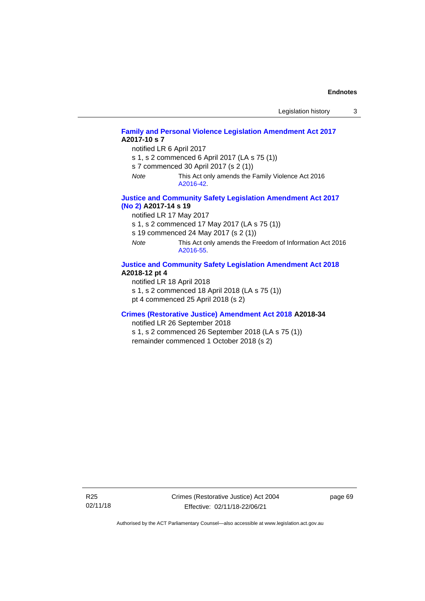| Legislation history |  |
|---------------------|--|
|---------------------|--|

# **[Family and Personal Violence Legislation Amendment Act 2017](http://www.legislation.act.gov.au/a/2017-10/default.asp) A2017-10 s 7**

notified LR 6 April 2017

- s 1, s 2 commenced 6 April 2017 (LA s 75 (1))
- s 7 commenced 30 April 2017 (s 2 (1))
- *Note* This Act only amends the Family Violence Act 2016 [A2016-42.](http://www.legislation.act.gov.au/a/2016-42/default.asp)

## **[Justice and Community Safety Legislation Amendment Act 2017](http://www.legislation.act.gov.au/a/2017-14/default.asp)  [\(No](http://www.legislation.act.gov.au/a/2017-14/default.asp) 2) A2017-14 s 19**

notified LR 17 May 2017

s 1, s 2 commenced 17 May 2017 (LA s 75 (1))

- s 19 commenced 24 May 2017 (s 2 (1))
- *Note* This Act only amends the Freedom of Information Act 2016 [A2016-55.](http://www.legislation.act.gov.au/a/2016-55/default.asp)

## **[Justice and Community Safety Legislation Amendment Act 2018](http://www.legislation.act.gov.au/a/2018-12/default.asp) A2018-12 pt 4**

notified LR 18 April 2018

s 1, s 2 commenced 18 April 2018 (LA s 75 (1))

pt 4 commenced 25 April 2018 (s 2)

#### **[Crimes \(Restorative Justice\) Amendment Act 2018](http://www.legislation.act.gov.au/a/2018-34/default.asp) A2018-34**

notified LR 26 September 2018

s 1, s 2 commenced 26 September 2018 (LA s 75 (1)) remainder commenced 1 October 2018 (s 2)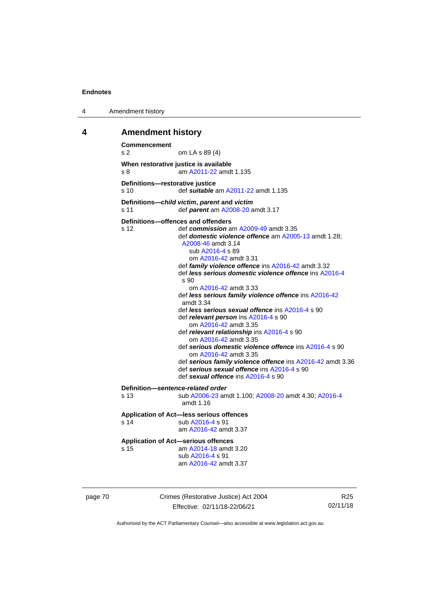4 Amendment history

## **4 Amendment history**

```
Commencement
s 2 om LA s 89 (4)
When restorative justice is available
s 8 am A2011-22 amdt 1.135
Definitions—restorative justice<br>s 10 def suitable
                 s 10 def suitable am A2011-22 amdt 1.135
Definitions—child victim, parent and victim
s 11 def parent am A2008-20 amdt 3.17
Definitions—offences and offenders
s 12 def commission am A2009-49 amdt 3.35
                 def domestic violence offence am A2005-13 amdt 1.28; 
                  A2008-46 amdt 3.14
                    sub A2016-4 s 89
                    om A2016-42 amdt 3.31
                 def family violence offence ins A2016-42 amdt 3.32
                 def less serious domestic violence offence ins A2016-4
                  s 90
                    om A2016-42 amdt 3.33
                 def less serious family violence offence ins A2016-42
                  amdt 3.34
                 def less serious sexual offence ins A2016-4 s 90
                 def relevant person ins A2016-4 s 90
                    om A2016-42 amdt 3.35
                 def relevant relationship ins A2016-4 s 90
                    om A2016-42 amdt 3.35
                 def serious domestic violence offence ins A2016-4 s 90
                    om A2016-42 amdt 3.35
                 def serious family violence offence ins A2016-42 amdt 3.36
                 def serious sexual offence ins A2016-4 s 90
                 def sexual offence ins A2016-4 s 90
Definition—sentence-related order
s 13 sub A2006-23 amdt 1.100; A2008-20 amdt 4.30; A2016-4
                  amdt 1.16
Application of Act—less serious offences
 A2016-4 s 91
                 am A2016-42 amdt 3.37
Application of Act—serious offences
s 15 am A2014-18 amdt 3.20
                 sub A2016-4 s 91
                 am A2016-42 amdt 3.37
```
page 70 Crimes (Restorative Justice) Act 2004 Effective: 02/11/18-22/06/21

R25 02/11/18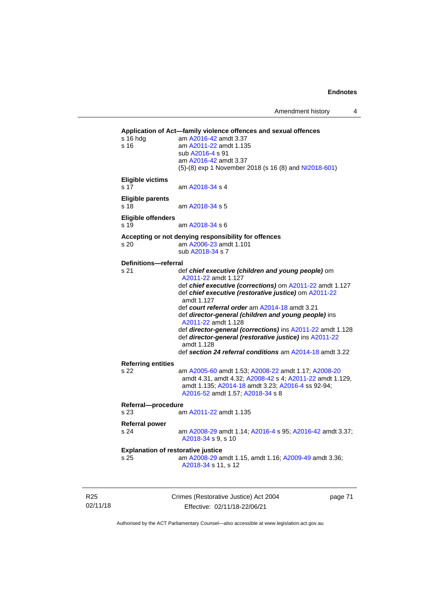Amendment history 4

```
Application of Act—family violence offences and sexual offences
s 16 hdg am A2016-42 amdt 3.37
s 16 am A2011-22 amdt 1.135
                 sub A2016-4 s 91
                 am A2016-42 amdt 3.37
                 (5)-(8) exp 1 November 2018 (s 16 (8) and NI2018-601)
Eligible victims
 A2018-34 s 4
Eligible parents
s 18 am A2018-34 s 5
Eligible offenders
s 19 am A2018-34 s 6
Accepting or not denying responsibility for offences
s 20 am A2006-23 amdt 1.101
                 sub A2018-34 s 7
Definitions—referral
s 21 def chief executive (children and young people) om 
                  A2011-22 amdt 1.127
                 def chief executive (corrections) om A2011-22 amdt 1.127
                 def chief executive (restorative justice) om A2011-22
                  amdt 1.127
                 def court referral order am A2014-18 amdt 3.21
                 def director-general (children and young people) ins 
                  A2011-22 amdt 1.128
                 def director-general (corrections) ins A2011-22 amdt 1.128
                 def director-general (restorative justice) ins A2011-22
                  amdt 1.128
                 def section 24 referral conditions am A2014-18 amdt 3.22
Referring entities
                 s 22 am A2005-60 amdt 1.53; A2008-22 amdt 1.17; A2008-20
                  amdt 4.31, amdt 4.32; A2008-42 s 4; A2011-22 amdt 1.129, 
                  amdt 1.135; A2014-18 amdt 3.23; A2016-4 ss 92-94; 
                  A2016-52 amdt 1.57; A2018-34 s 8
Referral—procedure
s 23 am A2011-22 amdt 1.135
Referral power
s 24 am A2008-29 amdt 1.14; A2016-4 s 95; A2016-42 amdt 3.37; 
                  A2018-34 s 9, s 10
Explanation of restorative justice
s 25 am A2008-29 amdt 1.15, amdt 1.16; A2009-49 amdt 3.36; 
                  A2018-34 s 11, s 12
```
R25 02/11/18 Crimes (Restorative Justice) Act 2004 Effective: 02/11/18-22/06/21

page 71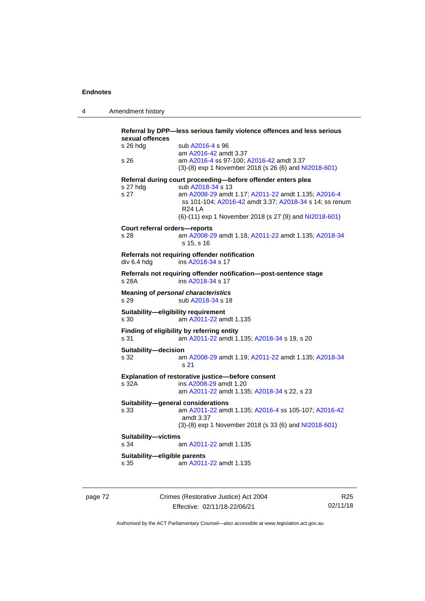|  | 4 | Amendment history |
|--|---|-------------------|
|--|---|-------------------|

| sexual offences                             | Referral by DPP-less serious family violence offences and less serious                                                                                                                                                                                                         |
|---------------------------------------------|--------------------------------------------------------------------------------------------------------------------------------------------------------------------------------------------------------------------------------------------------------------------------------|
| s 26 hdg<br>s 26                            | sub A2016-4 s 96<br>am A2016-42 amdt 3.37<br>am A2016-4 ss 97-100; A2016-42 amdt 3.37<br>(3)-(8) exp 1 November 2018 (s 26 (6) and NI2018-601)                                                                                                                                 |
|                                             |                                                                                                                                                                                                                                                                                |
| s 27 hdg<br>s 27                            | Referral during court proceeding-before offender enters plea<br>sub A2018-34 s 13<br>am A2008-29 amdt 1.17; A2011-22 amdt 1.135; A2016-4<br>ss 101-104; A2016-42 amdt 3.37; A2018-34 s 14; ss renum<br><b>R24 LA</b><br>(6)-(11) exp 1 November 2018 (s 27 (9) and NI2018-601) |
| Court referral orders-reports               |                                                                                                                                                                                                                                                                                |
| s 28                                        | am A2008-29 amdt 1.18; A2011-22 amdt 1.135; A2018-34<br>s 15, s 16                                                                                                                                                                                                             |
| div 6.4 hdg                                 | Referrals not requiring offender notification<br>ins A2018-34 s 17                                                                                                                                                                                                             |
| s 28A                                       | Referrals not requiring offender notification-post-sentence stage<br>ins A2018-34 s 17                                                                                                                                                                                         |
| s 29                                        | <b>Meaning of personal characteristics</b><br>sub A2018-34 s 18                                                                                                                                                                                                                |
| Suitability-eligibility requirement<br>s 30 | am A2011-22 amdt 1.135                                                                                                                                                                                                                                                         |
| s 31                                        | Finding of eligibility by referring entity<br>am A2011-22 amdt 1.135; A2018-34 s 19, s 20                                                                                                                                                                                      |
| Suitability-decision<br>s 32                | am A2008-29 amdt 1.19; A2011-22 amdt 1.135; A2018-34<br>s 21                                                                                                                                                                                                                   |
|                                             | Explanation of restorative justice-before consent                                                                                                                                                                                                                              |
| s 32A                                       | ins A2008-29 amdt 1.20<br>am A2011-22 amdt 1.135; A2018-34 s 22, s 23                                                                                                                                                                                                          |
| Suitability-general considerations<br>s 33  | am A2011-22 amdt 1.135; A2016-4 ss 105-107; A2016-42<br>amdt 3.37                                                                                                                                                                                                              |
|                                             | $(3)-(8)$ exp 1 November 2018 (s 33 (6) and NI2018-601)                                                                                                                                                                                                                        |
| Suitability-victims<br>s 34                 | am A2011-22 amdt 1.135                                                                                                                                                                                                                                                         |
|                                             |                                                                                                                                                                                                                                                                                |
| Suitability-eligible parents                |                                                                                                                                                                                                                                                                                |

page 72 Crimes (Restorative Justice) Act 2004 Effective: 02/11/18-22/06/21

R25 02/11/18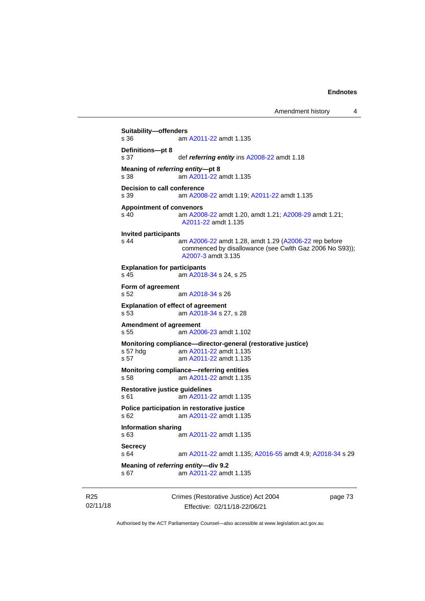```
Amendment history 4
```

```
Suitability—offenders
s 36 am A2011-22 amdt 1.135
Definitions—pt 8
s 37 def referring entity ins A2008-22 amdt 1.18
Meaning of referring entity—pt 8
s 38 am A2011-22 amdt 1.135
Decision to call conference
s 39 am A2008-22 amdt 1.19; A2011-22 amdt 1.135
Appointment of convenors
s 40 am A2008-22 amdt 1.20, amdt 1.21; A2008-29 amdt 1.21; 
                A2011-22 amdt 1.135
Invited participants
s 44 am A2006-22 amdt 1.28, amdt 1.29 (A2006-22 rep before 
                commenced by disallowance (see Cwlth Gaz 2006 No S93)); 
                A2007-3 amdt 3.135
Explanation for participants
s 45 am A2018-34 s 24, s 25
Form of agreement
s 52 am A2018-34 s 26
Explanation of effect of agreement
s 53 am A2018-34 s 27, s 28
Amendment of agreement
s 55 am A2006-23 amdt 1.102
Monitoring compliance—director-general (restorative justice)
 A2011-22 amdt 1.135
s 57 am A2011-22 amdt 1.135
Monitoring compliance—referring entities
s 58 am A2011-22 amdt 1.135
Restorative justice guidelines
s 61 am A2011-22 amdt 1.135
Police participation in restorative justice
s 62 am A2011-22 amdt 1.135
Information sharing
                A2011-22 amdt 1.135
Secrecy
s 64 am A2011-22 amdt 1.135; A2016-55 amdt 4.9; A2018-34 s 29
Meaning of referring entity—div 9.2
s 67 am A2011-22 amdt 1.135
```
R25 02/11/18 Crimes (Restorative Justice) Act 2004 Effective: 02/11/18-22/06/21

page 73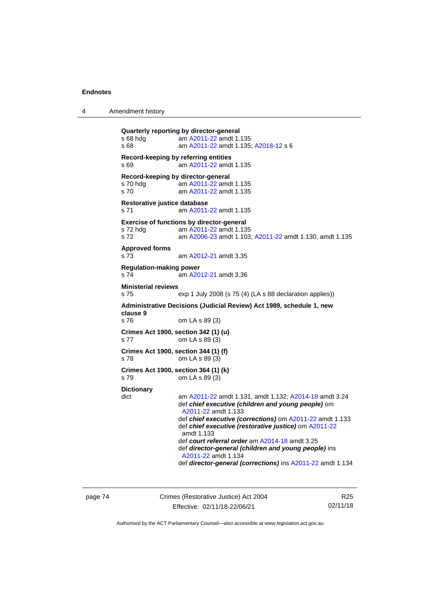4 Amendment history

```
Quarterly reporting by director-general
s 68 hdg  A2011-22 amdt 1.135
s 68 am A2011-22 amdt 1.135; A2018-12 s 6
Record-keeping by referring entities
s 69 am A2011-22 amdt 1.135
Record-keeping by director-general
 A2011-22 amdt 1.135<br>s 70 c am A2011-22 amdt 1.135
                 A2011-22 amdt 1.135
Restorative justice database
s 71 am A2011-22 amdt 1.135
Exercise of functions by director-general
 A2011-22 amdt 1.135
s 72 am A2006-23 amdt 1.103; A2011-22 amdt 1.130, amdt 1.135
Approved forms
s 73 am A2012-21 amdt 3.35
Regulation-making power
s 74  A2012-21 amdt 3.36
Ministerial reviews
s 75 exp 1 July 2008 (s 75 (4) (LA s 88 declaration applies))
Administrative Decisions (Judicial Review) Act 1989, schedule 1, new 
clause 9
s 76 om LA s 89 (3)
Crimes Act 1900, section 342 (1) (u)
s 77 om LA s 89 (3)
Crimes Act 1900, section 344 (1) (f)
s 78 om LA s 89 (3)
Crimes Act 1900, section 364 (1) (k)
s 79 om LA s 89 (3)
Dictionary
dict am A2011-22 amdt 1.131, amdt 1.132; A2014-18 amdt 3.24
                def chief executive (children and young people) om 
                 A2011-22 amdt 1.133
                def chief executive (corrections) om A2011-22 amdt 1.133
                def chief executive (restorative justice) om A2011-22
                 amdt 1.133
                def court referral order am A2014-18 amdt 3.25
                def director-general (children and young people) ins 
                 A2011-22 amdt 1.134
                def director-general (corrections) ins A2011-22 amdt 1.134
```
page 74 Crimes (Restorative Justice) Act 2004 Effective: 02/11/18-22/06/21

R25 02/11/18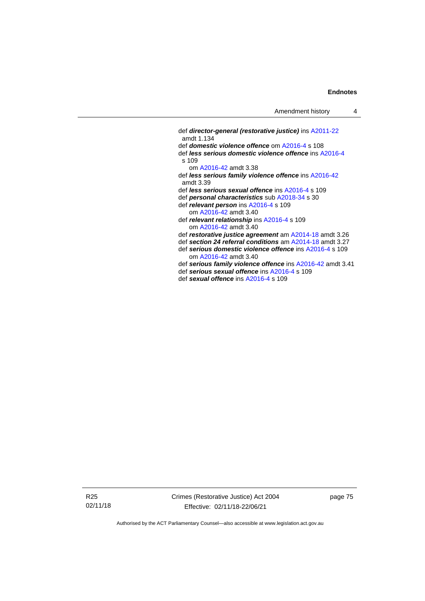def *director-general (restorative justice)* in[s A2011-22](http://www.legislation.act.gov.au/a/2011-22) amdt 1.134 def *domestic violence offence* om [A2016-4](http://www.legislation.act.gov.au/a/2016-4/default.asp) s 108 def *less serious domestic violence offence* in[s A2016-4](http://www.legislation.act.gov.au/a/2016-4/default.asp) s 109 om [A2016-42](http://www.legislation.act.gov.au/a/2016-42/default.asp) amdt 3.38 def *less serious family violence offence* ins [A2016-42](http://www.legislation.act.gov.au/a/2016-42/default.asp) amdt 3.39 def *less serious sexual offence* in[s A2016-4](http://www.legislation.act.gov.au/a/2016-4/default.asp) s 109 def *personal characteristics* sub [A2018-34](http://www.legislation.act.gov.au/a/2018-34/default.asp) s 30 def *relevant person* in[s A2016-4](http://www.legislation.act.gov.au/a/2016-4/default.asp) s 109 om [A2016-42](http://www.legislation.act.gov.au/a/2016-42/default.asp) amdt 3.40 def *relevant relationship* in[s A2016-4](http://www.legislation.act.gov.au/a/2016-4/default.asp) s 109 om [A2016-42](http://www.legislation.act.gov.au/a/2016-42/default.asp) amdt 3.40 def *restorative justice agreement* a[m A2014-18](http://www.legislation.act.gov.au/a/2014-18) amdt 3.26 def *section 24 referral conditions* am [A2014-18](http://www.legislation.act.gov.au/a/2014-18) amdt 3.27 def *serious domestic violence offence* in[s A2016-4](http://www.legislation.act.gov.au/a/2016-4/default.asp) s 109 om [A2016-42](http://www.legislation.act.gov.au/a/2016-42/default.asp) amdt 3.40 def *serious family violence offence* ins [A2016-42](http://www.legislation.act.gov.au/a/2016-42/default.asp) amdt 3.41 def *serious sexual offence* in[s A2016-4](http://www.legislation.act.gov.au/a/2016-4/default.asp) s 109 def *sexual offence* ins [A2016-4](http://www.legislation.act.gov.au/a/2016-4/default.asp) s 109

R25 02/11/18 Crimes (Restorative Justice) Act 2004 Effective: 02/11/18-22/06/21

page 75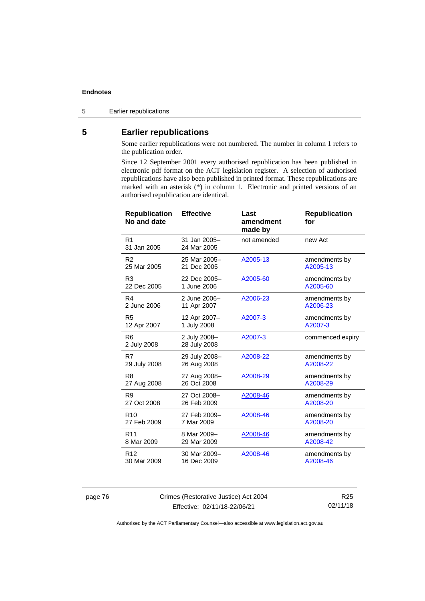5 Earlier republications

# **5 Earlier republications**

Some earlier republications were not numbered. The number in column 1 refers to the publication order.

Since 12 September 2001 every authorised republication has been published in electronic pdf format on the ACT legislation register. A selection of authorised republications have also been published in printed format. These republications are marked with an asterisk (\*) in column 1. Electronic and printed versions of an authorised republication are identical.

| <b>Republication</b><br>No and date | <b>Effective</b>             | Last<br>amendment<br>made by | <b>Republication</b><br>for |
|-------------------------------------|------------------------------|------------------------------|-----------------------------|
| R <sub>1</sub><br>31 Jan 2005       | 31 Jan 2005-<br>24 Mar 2005  | not amended                  | new Act                     |
| R <sub>2</sub>                      | 25 Mar 2005-                 | A2005-13                     | amendments by               |
| 25 Mar 2005                         | 21 Dec 2005                  |                              | A2005-13                    |
| R <sub>3</sub>                      | 22 Dec 2005-                 | A2005-60                     | amendments by               |
| 22 Dec 2005                         | 1 June 2006                  |                              | A2005-60                    |
| R <sub>4</sub>                      | 2 June 2006-                 | A2006-23                     | amendments by               |
| 2 June 2006                         | 11 Apr 2007                  |                              | A2006-23                    |
| R <sub>5</sub>                      | 12 Apr 2007-                 | A2007-3                      | amendments by               |
| 12 Apr 2007                         | 1 July 2008                  |                              | A2007-3                     |
| R <sub>6</sub><br>2 July 2008       | 2 July 2008-<br>28 July 2008 | A2007-3                      | commenced expiry            |
| R7                                  | 29 July 2008-                | A2008-22                     | amendments by               |
| 29 July 2008                        | 26 Aug 2008                  |                              | A2008-22                    |
| R <sub>8</sub>                      | 27 Aug 2008-                 | A2008-29                     | amendments by               |
| 27 Aug 2008                         | 26 Oct 2008                  |                              | A2008-29                    |
| R <sub>9</sub>                      | 27 Oct 2008-                 | A2008-46                     | amendments by               |
| 27 Oct 2008                         | 26 Feb 2009                  |                              | A2008-20                    |
| R <sub>10</sub>                     | 27 Feb 2009-                 | A2008-46                     | amendments by               |
| 27 Feb 2009                         | 7 Mar 2009                   |                              | A2008-20                    |
| R <sub>11</sub>                     | 8 Mar 2009-                  | A2008-46                     | amendments by               |
| 8 Mar 2009                          | 29 Mar 2009                  |                              | A2008-42                    |
| R <sub>12</sub>                     | 30 Mar 2009-                 | A2008-46                     | amendments by               |
| 30 Mar 2009                         | 16 Dec 2009                  |                              | A2008-46                    |

page 76 Crimes (Restorative Justice) Act 2004 Effective: 02/11/18-22/06/21

R25 02/11/18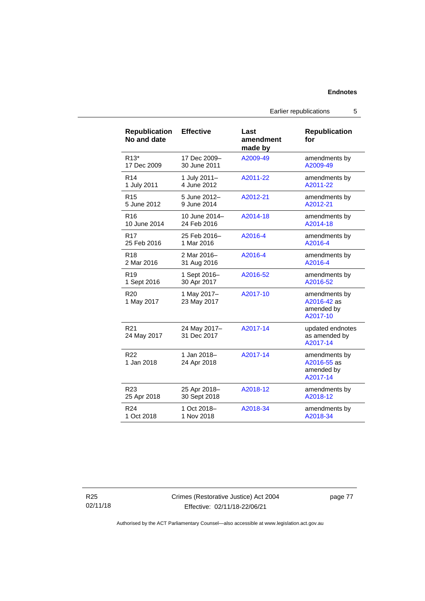Earlier republications 5

| <b>Republication</b><br>No and date | <b>Effective</b>            | Last<br>amendment<br>made by | <b>Republication</b><br>for                            |
|-------------------------------------|-----------------------------|------------------------------|--------------------------------------------------------|
| $R13*$                              | 17 Dec 2009-                | A2009-49                     | amendments by                                          |
| 17 Dec 2009                         | 30 June 2011                |                              | A2009-49                                               |
| R <sub>14</sub>                     | 1 July 2011-                | A2011-22                     | amendments by                                          |
| 1 July 2011                         | 4 June 2012                 |                              | A2011-22                                               |
| R <sub>15</sub>                     | 5 June 2012-                | A2012-21                     | amendments by                                          |
| 5 June 2012                         | 9 June 2014                 |                              | A2012-21                                               |
| R <sub>16</sub>                     | 10 June 2014-               | A2014-18                     | amendments by                                          |
| 10 June 2014                        | 24 Feb 2016                 |                              | A2014-18                                               |
| R <sub>17</sub>                     | 25 Feb 2016-                | A2016-4                      | amendments by                                          |
| 25 Feb 2016                         | 1 Mar 2016                  |                              | A2016-4                                                |
| R <sub>18</sub>                     | 2 Mar 2016-                 | A2016-4                      | amendments by                                          |
| 2 Mar 2016                          | 31 Aug 2016                 |                              | A2016-4                                                |
| R <sub>19</sub>                     | 1 Sept 2016-                | A2016-52                     | amendments by                                          |
| 1 Sept 2016                         | 30 Apr 2017                 |                              | A2016-52                                               |
| R <sub>20</sub><br>1 May 2017       | 1 May 2017-<br>23 May 2017  | A2017-10                     | amendments by<br>A2016-42 as<br>amended by<br>A2017-10 |
| R21<br>24 May 2017                  | 24 May 2017-<br>31 Dec 2017 | A2017-14                     | updated endnotes<br>as amended by<br>A2017-14          |
| R <sub>22</sub><br>1 Jan 2018       | 1 Jan 2018-<br>24 Apr 2018  | A2017-14                     | amendments by<br>A2016-55 as<br>amended by<br>A2017-14 |
| R <sub>23</sub>                     | 25 Apr 2018-                | A2018-12                     | amendments by                                          |
| 25 Apr 2018                         | 30 Sept 2018                |                              | A2018-12                                               |
| R <sub>24</sub>                     | 1 Oct 2018-                 | A2018-34                     | amendments by                                          |
| 1 Oct 2018                          | 1 Nov 2018                  |                              | A2018-34                                               |

R25 02/11/18 Crimes (Restorative Justice) Act 2004 Effective: 02/11/18-22/06/21

page 77